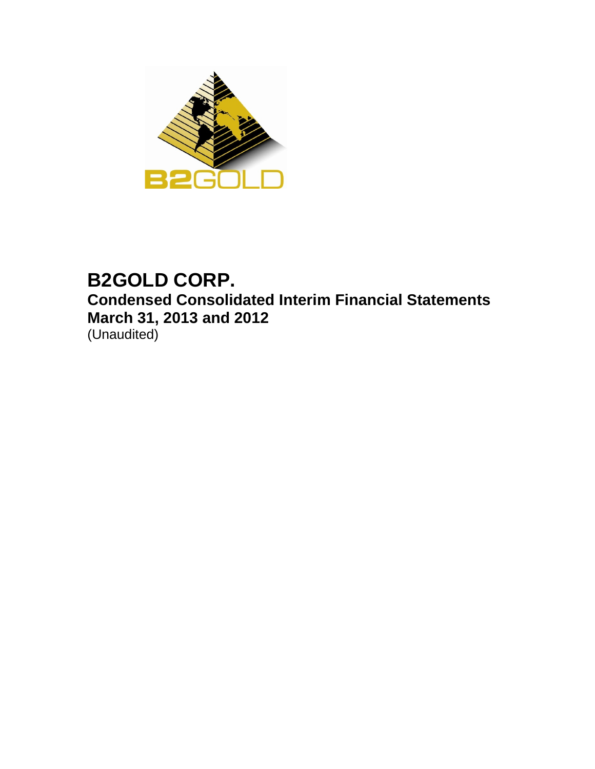

# **B2GOLD CORP. Condensed Consolidated Interim Financial Statements March 31, 2013 and 2012** (Unaudited)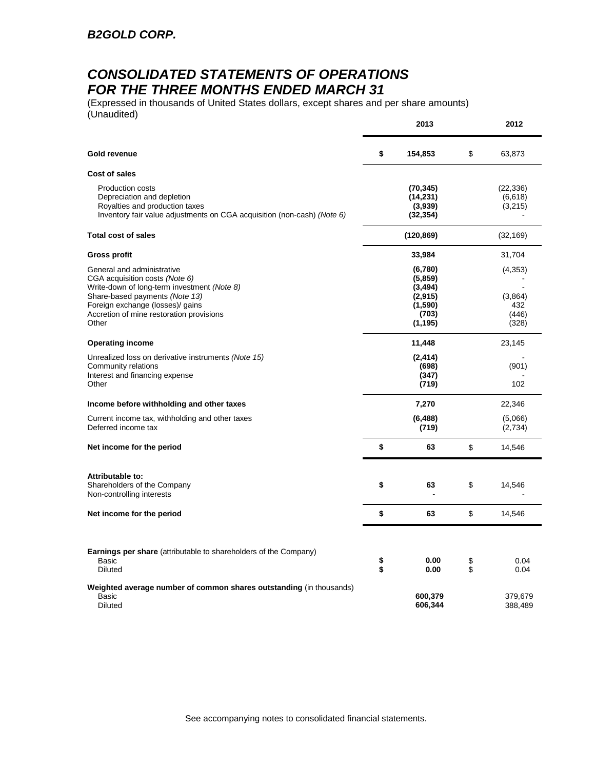## *CONSOLIDATED STATEMENTS OF OPERATIONS FOR THE THREE MONTHS ENDED MARCH 31*

(Expressed in thousands of United States dollars, except shares and per share amounts) (Unaudited)

|                                                                                                                                                                                                                                        |          | 2013                                                                       |          | 2012                                        |
|----------------------------------------------------------------------------------------------------------------------------------------------------------------------------------------------------------------------------------------|----------|----------------------------------------------------------------------------|----------|---------------------------------------------|
| Gold revenue                                                                                                                                                                                                                           | \$       | 154,853                                                                    | \$       | 63,873                                      |
| <b>Cost of sales</b>                                                                                                                                                                                                                   |          |                                                                            |          |                                             |
| Production costs<br>Depreciation and depletion<br>Royalties and production taxes<br>Inventory fair value adjustments on CGA acquisition (non-cash) (Note 6)                                                                            |          | (70, 345)<br>(14, 231)<br>(3,939)<br>(32, 354)                             |          | (22, 336)<br>(6,618)<br>(3,215)             |
| <b>Total cost of sales</b>                                                                                                                                                                                                             |          | (120, 869)                                                                 |          | (32, 169)                                   |
| Gross profit                                                                                                                                                                                                                           |          | 33,984                                                                     |          | 31,704                                      |
| General and administrative<br>CGA acquisition costs (Note 6)<br>Write-down of long-term investment (Note 8)<br>Share-based payments (Note 13)<br>Foreign exchange (losses)/ gains<br>Accretion of mine restoration provisions<br>Other |          | (6,780)<br>(5,859)<br>(3, 494)<br>(2, 915)<br>(1,590)<br>(703)<br>(1, 195) |          | (4,353)<br>(3,864)<br>432<br>(446)<br>(328) |
| <b>Operating income</b>                                                                                                                                                                                                                |          | 11,448                                                                     |          | 23,145                                      |
| Unrealized loss on derivative instruments (Note 15)<br>Community relations<br>Interest and financing expense<br>Other                                                                                                                  |          | (2, 414)<br>(698)<br>(347)<br>(719)                                        |          | (901)<br>102                                |
| Income before withholding and other taxes                                                                                                                                                                                              |          | 7,270                                                                      |          | 22,346                                      |
| Current income tax, withholding and other taxes<br>Deferred income tax                                                                                                                                                                 |          | (6,488)<br>(719)                                                           |          | (5,066)<br>(2,734)                          |
| Net income for the period                                                                                                                                                                                                              | \$       | 63                                                                         | \$       | 14,546                                      |
| Attributable to:<br>Shareholders of the Company<br>Non-controlling interests                                                                                                                                                           | \$       | 63                                                                         | \$       | 14,546                                      |
| Net income for the period                                                                                                                                                                                                              | \$       | 63                                                                         | \$       | 14,546                                      |
| <b>Earnings per share</b> (attributable to shareholders of the Company)<br>Basic<br><b>Diluted</b>                                                                                                                                     | \$<br>\$ | 0.00<br>0.00                                                               | \$<br>\$ | 0.04<br>0.04                                |
| Weighted average number of common shares outstanding (in thousands)<br><b>Basic</b><br><b>Diluted</b>                                                                                                                                  |          | 600,379<br>606,344                                                         |          | 379,679<br>388,489                          |

See accompanying notes to consolidated financial statements.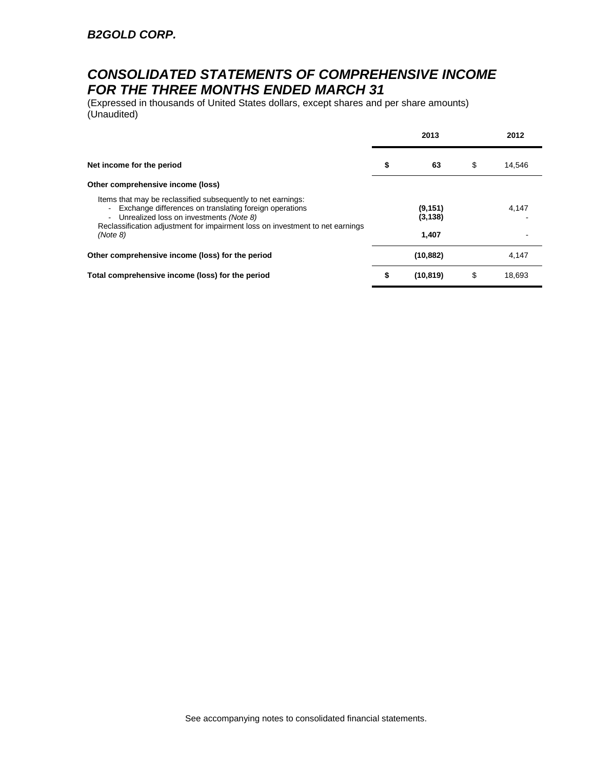## *CONSOLIDATED STATEMENTS OF COMPREHENSIVE INCOME FOR THE THREE MONTHS ENDED MARCH 31*

(Expressed in thousands of United States dollars, except shares and per share amounts) (Unaudited)

|                                                                                                                                                                                                                                                                                                    |    | 2013                          |    | 2012   |
|----------------------------------------------------------------------------------------------------------------------------------------------------------------------------------------------------------------------------------------------------------------------------------------------------|----|-------------------------------|----|--------|
| Net income for the period                                                                                                                                                                                                                                                                          | \$ | 63                            | \$ | 14,546 |
| Other comprehensive income (loss)                                                                                                                                                                                                                                                                  |    |                               |    |        |
| Items that may be reclassified subsequently to net earnings:<br>Exchange differences on translating foreign operations<br>$\blacksquare$<br>Unrealized loss on investments (Note 8)<br>$\blacksquare$<br>Reclassification adjustment for impairment loss on investment to net earnings<br>(Note 8) |    | (9, 151)<br>(3, 138)<br>1,407 |    | 4.147  |
| Other comprehensive income (loss) for the period                                                                                                                                                                                                                                                   |    | (10, 882)                     |    | 4.147  |
| Total comprehensive income (loss) for the period                                                                                                                                                                                                                                                   | S  | (10, 819)                     | S  | 18.693 |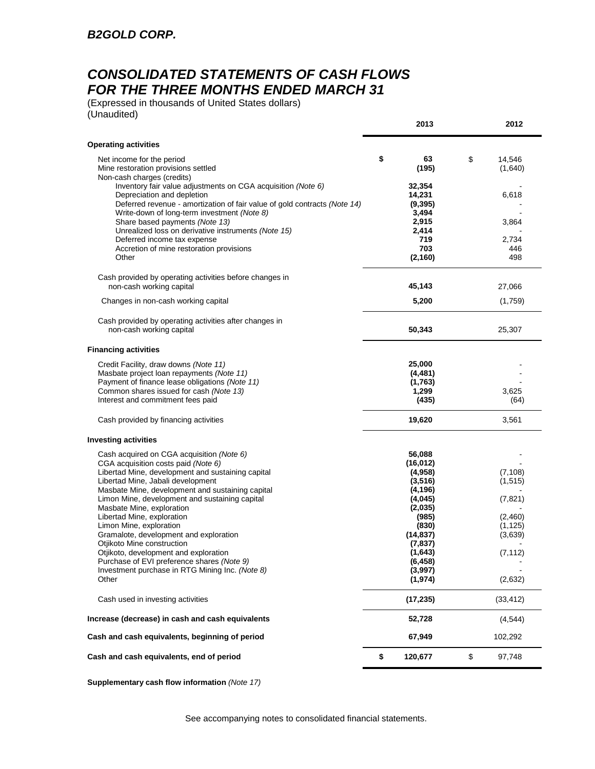## *CONSOLIDATED STATEMENTS OF CASH FLOWS FOR THE THREE MONTHS ENDED MARCH 31*

(Expressed in thousands of United States dollars) (Unaudited)

|                                                                                                                                                                                                                        | 2013                                  | 2012                    |
|------------------------------------------------------------------------------------------------------------------------------------------------------------------------------------------------------------------------|---------------------------------------|-------------------------|
| <b>Operating activities</b>                                                                                                                                                                                            |                                       |                         |
| Net income for the period<br>Mine restoration provisions settled<br>Non-cash charges (credits)                                                                                                                         | \$<br>63<br>(195)                     | \$<br>14,546<br>(1,640) |
| Inventory fair value adjustments on CGA acquisition (Note 6)<br>Depreciation and depletion<br>Deferred revenue - amortization of fair value of gold contracts (Note 14)<br>Write-down of long-term investment (Note 8) | 32,354<br>14,231<br>(9, 395)<br>3,494 | 6,618                   |
| Share based payments (Note 13)<br>Unrealized loss on derivative instruments (Note 15)<br>Deferred income tax expense                                                                                                   | 2,915<br>2,414<br>719                 | 3,864<br>2,734          |
| Accretion of mine restoration provisions<br>Other                                                                                                                                                                      | 703<br>(2, 160)                       | 446<br>498              |
| Cash provided by operating activities before changes in<br>non-cash working capital                                                                                                                                    | 45,143                                | 27,066                  |
| Changes in non-cash working capital                                                                                                                                                                                    | 5,200                                 | (1,759)                 |
| Cash provided by operating activities after changes in<br>non-cash working capital                                                                                                                                     | 50,343                                | 25,307                  |
| <b>Financing activities</b>                                                                                                                                                                                            |                                       |                         |
| Credit Facility, draw downs (Note 11)<br>Masbate project loan repayments (Note 11)<br>Payment of finance lease obligations (Note 11)                                                                                   | 25,000<br>(4, 481)<br>(1,763)         |                         |
| Common shares issued for cash (Note 13)<br>Interest and commitment fees paid                                                                                                                                           | 1,299<br>(435)                        | 3,625<br>(64)           |
| Cash provided by financing activities                                                                                                                                                                                  | 19,620                                | 3,561                   |
| <b>Investing activities</b>                                                                                                                                                                                            |                                       |                         |
| Cash acquired on CGA acquisition (Note 6)<br>CGA acquisition costs paid (Note 6)                                                                                                                                       | 56,088<br>(16, 012)                   |                         |
| Libertad Mine, development and sustaining capital                                                                                                                                                                      | (4,958)                               | (7, 108)                |
| Libertad Mine, Jabali development<br>Masbate Mine, development and sustaining capital                                                                                                                                  | (3, 516)<br>(4, 196)                  | (1,515)                 |
| Limon Mine, development and sustaining capital                                                                                                                                                                         | (4,045)                               | (7, 821)                |
| Masbate Mine, exploration<br>Libertad Mine, exploration                                                                                                                                                                | (2,035)<br>(985)                      | (2,460)                 |
| Limon Mine, exploration                                                                                                                                                                                                | (830)                                 | (1, 125)                |
| Gramalote, development and exploration<br>Otjikoto Mine construction                                                                                                                                                   | (14, 837)                             | (3,639)                 |
| Otjikoto, development and exploration                                                                                                                                                                                  | (7, 837)<br>(1,643)                   | (7, 112)                |
| Purchase of EVI preference shares (Note 9)                                                                                                                                                                             | (6, 458)                              |                         |
| Investment purchase in RTG Mining Inc. (Note 8)<br>Other                                                                                                                                                               | (3,997)<br>(1, 974)                   | (2,632)                 |
| Cash used in investing activities                                                                                                                                                                                      | (17, 235)                             | (33, 412)               |
| Increase (decrease) in cash and cash equivalents                                                                                                                                                                       | 52,728                                | (4, 544)                |
| Cash and cash equivalents, beginning of period                                                                                                                                                                         | 67,949                                | 102,292                 |
| Cash and cash equivalents, end of period                                                                                                                                                                               | \$<br>120,677                         | \$<br>97,748            |

**Supplementary cash flow information** *(Note 17)*

See accompanying notes to consolidated financial statements.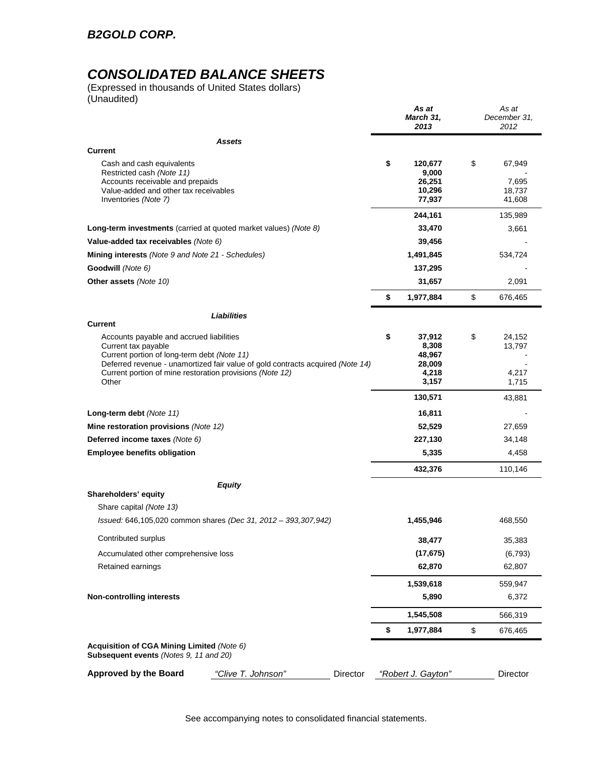## *CONSOLIDATED BALANCE SHEETS*

(Expressed in thousands of United States dollars) (Unaudited)

|                                                                                                                                                                                                                                                                       | As at<br>March 31,<br>2013                                  | As at<br>December 31,<br>2012             |
|-----------------------------------------------------------------------------------------------------------------------------------------------------------------------------------------------------------------------------------------------------------------------|-------------------------------------------------------------|-------------------------------------------|
| Assets                                                                                                                                                                                                                                                                |                                                             |                                           |
| <b>Current</b>                                                                                                                                                                                                                                                        |                                                             |                                           |
| Cash and cash equivalents<br>Restricted cash (Note 11)<br>Accounts receivable and prepaids<br>Value-added and other tax receivables<br>Inventories (Note 7)                                                                                                           | \$<br>120,677<br>9,000<br>26,251<br>10,296<br>77,937        | \$<br>67,949<br>7,695<br>18,737<br>41,608 |
|                                                                                                                                                                                                                                                                       | 244,161                                                     | 135,989                                   |
| Long-term investments (carried at quoted market values) (Note 8)                                                                                                                                                                                                      | 33,470                                                      | 3,661                                     |
| Value-added tax receivables (Note 6)                                                                                                                                                                                                                                  | 39,456                                                      |                                           |
| Mining interests (Note 9 and Note 21 - Schedules)                                                                                                                                                                                                                     | 1,491,845                                                   | 534,724                                   |
| Goodwill (Note 6)                                                                                                                                                                                                                                                     | 137,295                                                     |                                           |
| Other assets (Note 10)                                                                                                                                                                                                                                                | 31,657                                                      | 2,091                                     |
|                                                                                                                                                                                                                                                                       | \$<br>1,977,884                                             | \$<br>676,465                             |
| Liabilities                                                                                                                                                                                                                                                           |                                                             |                                           |
| <b>Current</b>                                                                                                                                                                                                                                                        |                                                             |                                           |
| Accounts payable and accrued liabilities<br>Current tax payable<br>Current portion of long-term debt (Note 11)<br>Deferred revenue - unamortized fair value of gold contracts acquired (Note 14)<br>Current portion of mine restoration provisions (Note 12)<br>Other | \$<br>37,912<br>8,308<br>48,967<br>28,009<br>4,218<br>3,157 | \$<br>24,152<br>13,797<br>4,217<br>1,715  |
|                                                                                                                                                                                                                                                                       | 130,571                                                     | 43,881                                    |
| Long-term debt (Note 11)                                                                                                                                                                                                                                              | 16,811                                                      |                                           |
| Mine restoration provisions (Note 12)                                                                                                                                                                                                                                 | 52,529                                                      | 27,659                                    |
| Deferred income taxes (Note 6)                                                                                                                                                                                                                                        | 227,130                                                     | 34,148                                    |
| <b>Employee benefits obligation</b>                                                                                                                                                                                                                                   | 5,335                                                       | 4,458                                     |
|                                                                                                                                                                                                                                                                       | 432,376                                                     | 110,146                                   |
| <b>Equity</b>                                                                                                                                                                                                                                                         |                                                             |                                           |
| Shareholders' equity                                                                                                                                                                                                                                                  |                                                             |                                           |
| Share capital (Note 13)<br>Issued: 646,105,020 common shares (Dec 31, 2012 - 393,307,942)                                                                                                                                                                             | 1,455,946                                                   | 468,550                                   |
| Contributed surplus                                                                                                                                                                                                                                                   | 38,477                                                      | 35,383                                    |
| Accumulated other comprehensive loss                                                                                                                                                                                                                                  | (17, 675)                                                   | (6, 793)                                  |
| Retained earnings                                                                                                                                                                                                                                                     | 62,870                                                      | 62,807                                    |
|                                                                                                                                                                                                                                                                       | 1,539,618                                                   | 559,947                                   |
| <b>Non-controlling interests</b>                                                                                                                                                                                                                                      | 5,890                                                       | 6,372                                     |
|                                                                                                                                                                                                                                                                       | 1,545,508                                                   | 566,319                                   |
|                                                                                                                                                                                                                                                                       | \$<br>1,977,884                                             | \$<br>676,465                             |
| Acquisition of CGA Mining Limited (Note 6)<br><b>Subsequent events (Notes 9, 11 and 20)</b>                                                                                                                                                                           |                                                             |                                           |
| <b>Approved by the Board</b><br>"Clive T. Johnson"<br>Director                                                                                                                                                                                                        | "Robert J. Gayton"                                          | Director                                  |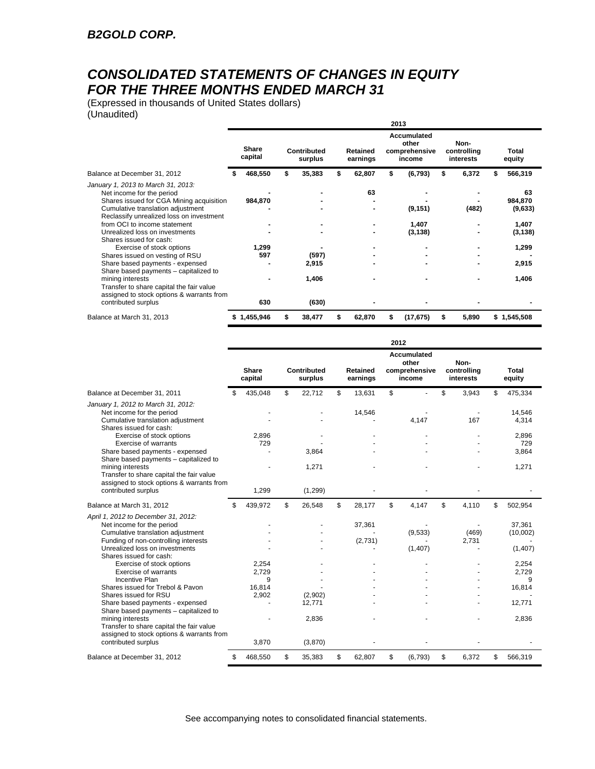## *CONSOLIDATED STATEMENTS OF CHANGES IN EQUITY FOR THE THREE MONTHS ENDED MARCH 31*

(Expressed in thousands of United States dollars) (Unaudited)

|                                                                                                                                                                                                                                                                                                                        | 2013 |                    |     |                         |    |                      |    |                                                 |    |                                  |    |                                                        |
|------------------------------------------------------------------------------------------------------------------------------------------------------------------------------------------------------------------------------------------------------------------------------------------------------------------------|------|--------------------|-----|-------------------------|----|----------------------|----|-------------------------------------------------|----|----------------------------------|----|--------------------------------------------------------|
|                                                                                                                                                                                                                                                                                                                        |      | Share<br>capital   |     | Contributed<br>surplus  |    | Retained<br>earnings |    | Accumulated<br>other<br>comprehensive<br>income |    | Non-<br>controlling<br>interests |    | Total<br>equity                                        |
| Balance at December 31, 2012                                                                                                                                                                                                                                                                                           |      | 468,550            | \$. | 35,383                  | \$ | 62,807               | \$ | (6, 793)                                        | \$ | 6,372                            |    | 566,319                                                |
| January 1, 2013 to March 31, 2013:<br>Net income for the period<br>Shares issued for CGA Mining acquisition<br>Cumulative translation adjustment<br>Reclassify unrealized loss on investment<br>from OCI to income statement<br>Unrealized loss on investments<br>Shares issued for cash:<br>Exercise of stock options |      | 984,870<br>1,299   |     |                         |    | 63                   |    | (9, 151)<br>1,407<br>(3, 138)                   |    | (482)                            |    | 63<br>984,870<br>(9,633)<br>1,407<br>(3, 138)<br>1,299 |
| Shares issued on vesting of RSU<br>Share based payments - expensed<br>Share based payments – capitalized to<br>mining interests<br>Transfer to share capital the fair value<br>assigned to stock options & warrants from                                                                                               |      | 597                |     | (597)<br>2,915<br>1,406 |    |                      |    |                                                 |    |                                  |    | 2,915<br>1,406                                         |
| contributed surplus<br>Balance at March 31, 2013                                                                                                                                                                                                                                                                       |      | 630<br>\$1,455,946 |     | (630)<br>38,477         | \$ | 62,870               | \$ | (17, 675)                                       | S  | 5,890                            | \$ | 1,545,508                                              |

|                                                                                                                                                                                                            |    |                  |                        |                             | 2012 |                                                        |     |                                  |                               |
|------------------------------------------------------------------------------------------------------------------------------------------------------------------------------------------------------------|----|------------------|------------------------|-----------------------------|------|--------------------------------------------------------|-----|----------------------------------|-------------------------------|
|                                                                                                                                                                                                            |    | Share<br>capital | Contributed<br>surplus | <b>Retained</b><br>earnings |      | <b>Accumulated</b><br>other<br>comprehensive<br>income |     | Non-<br>controlling<br>interests | Total<br>equity               |
| Balance at December 31, 2011                                                                                                                                                                               | S  | 435,048          | \$<br>22,712           | \$<br>13,631                | \$   |                                                        | \$. | 3,943                            | \$<br>475,334                 |
| January 1, 2012 to March 31, 2012:<br>Net income for the period<br>Cumulative translation adjustment<br>Shares issued for cash:                                                                            |    |                  |                        | 14,546                      |      | 4.147                                                  |     | 167                              | 14,546<br>4.314               |
| Exercise of stock options                                                                                                                                                                                  |    | 2,896            |                        |                             |      |                                                        |     |                                  | 2,896                         |
| Exercise of warrants                                                                                                                                                                                       |    | 729              |                        |                             |      |                                                        |     |                                  | 729                           |
| Share based payments - expensed<br>Share based payments - capitalized to                                                                                                                                   |    |                  | 3,864                  |                             |      |                                                        |     |                                  | 3,864                         |
| mining interests<br>Transfer to share capital the fair value<br>assigned to stock options & warrants from                                                                                                  |    |                  | 1,271                  |                             |      |                                                        |     |                                  | 1,271                         |
| contributed surplus                                                                                                                                                                                        |    | 1,299            | (1, 299)               |                             |      |                                                        |     |                                  |                               |
| Balance at March 31, 2012                                                                                                                                                                                  | \$ | 439,972          | \$<br>26,548           | \$<br>28,177                | \$   | 4,147                                                  | \$  | 4,110                            | \$<br>502,954                 |
| April 1, 2012 to December 31, 2012:<br>Net income for the period<br>Cumulative translation adjustment<br>Funding of non-controlling interests<br>Unrealized loss on investments<br>Shares issued for cash: |    |                  |                        | 37,361<br>(2,731)           |      | (9,533)<br>(1,407)                                     |     | (469)<br>2,731                   | 37,361<br>(10,002)<br>(1,407) |
| Exercise of stock options                                                                                                                                                                                  |    | 2,254            |                        |                             |      |                                                        |     |                                  | 2,254                         |
| <b>Exercise of warrants</b><br>Incentive Plan                                                                                                                                                              |    | 2,729<br>9       |                        |                             |      |                                                        |     |                                  | 2,729<br>9                    |
| Shares issued for Trebol & Payon                                                                                                                                                                           |    | 16.814           |                        |                             |      |                                                        |     |                                  | 16,814                        |
| Shares issued for RSU                                                                                                                                                                                      |    | 2,902            | (2,902)                |                             |      |                                                        |     |                                  |                               |
| Share based payments - expensed                                                                                                                                                                            |    |                  | 12,771                 |                             |      |                                                        |     |                                  | 12,771                        |
| Share based payments - capitalized to<br>mining interests<br>Transfer to share capital the fair value<br>assigned to stock options & warrants from                                                         |    |                  | 2,836                  |                             |      |                                                        |     |                                  | 2,836                         |
| contributed surplus                                                                                                                                                                                        |    | 3,870            | (3,870)                |                             |      |                                                        |     |                                  |                               |
| Balance at December 31, 2012                                                                                                                                                                               | \$ | 468,550          | \$<br>35,383           | \$<br>62,807                | \$   | (6, 793)                                               | \$  | 6,372                            | \$<br>566,319                 |

See accompanying notes to consolidated financial statements.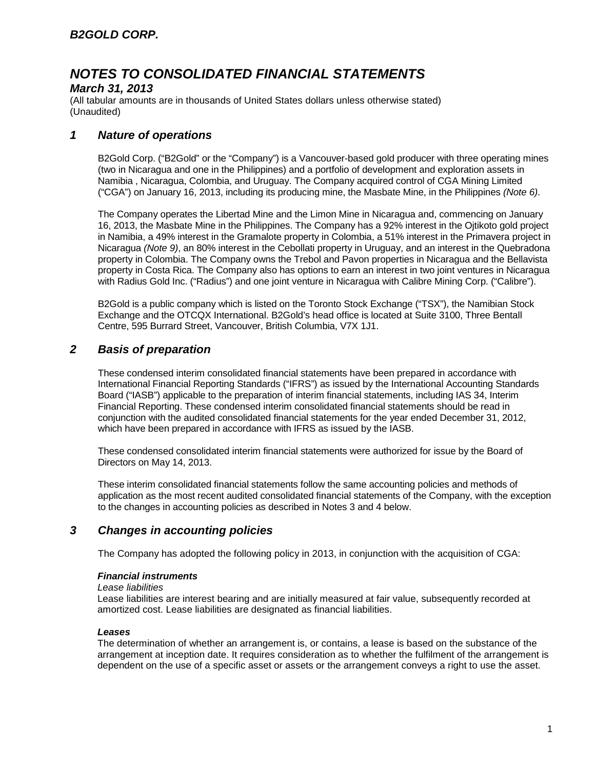### *March 31, 2013*

(All tabular amounts are in thousands of United States dollars unless otherwise stated) (Unaudited)

### *1 Nature of operations*

B2Gold Corp. ("B2Gold" or the "Company") is a Vancouver-based gold producer with three operating mines (two in Nicaragua and one in the Philippines) and a portfolio of development and exploration assets in Namibia , Nicaragua, Colombia, and Uruguay. The Company acquired control of CGA Mining Limited ("CGA") on January 16, 2013, including its producing mine, the Masbate Mine, in the Philippines *(Note 6)*.

The Company operates the Libertad Mine and the Limon Mine in Nicaragua and, commencing on January 16, 2013, the Masbate Mine in the Philippines. The Company has a 92% interest in the Ojtikoto gold project in Namibia, a 49% interest in the Gramalote property in Colombia, a 51% interest in the Primavera project in Nicaragua *(Note 9)*, an 80% interest in the Cebollati property in Uruguay, and an interest in the Quebradona property in Colombia. The Company owns the Trebol and Pavon properties in Nicaragua and the Bellavista property in Costa Rica. The Company also has options to earn an interest in two joint ventures in Nicaragua with Radius Gold Inc. ("Radius") and one joint venture in Nicaragua with Calibre Mining Corp. ("Calibre").

B2Gold is a public company which is listed on the Toronto Stock Exchange ("TSX"), the Namibian Stock Exchange and the OTCQX International. B2Gold's head office is located at Suite 3100, Three Bentall Centre, 595 Burrard Street, Vancouver, British Columbia, V7X 1J1.

## *2 Basis of preparation*

These condensed interim consolidated financial statements have been prepared in accordance with International Financial Reporting Standards ("IFRS") as issued by the International Accounting Standards Board ("IASB") applicable to the preparation of interim financial statements, including IAS 34, Interim Financial Reporting. These condensed interim consolidated financial statements should be read in conjunction with the audited consolidated financial statements for the year ended December 31, 2012, which have been prepared in accordance with IFRS as issued by the IASB.

These condensed consolidated interim financial statements were authorized for issue by the Board of Directors on May 14, 2013.

These interim consolidated financial statements follow the same accounting policies and methods of application as the most recent audited consolidated financial statements of the Company, with the exception to the changes in accounting policies as described in Notes 3 and 4 below.

### *3 Changes in accounting policies*

The Company has adopted the following policy in 2013, in conjunction with the acquisition of CGA:

#### *Financial instruments*

#### *Lease liabilities*

Lease liabilities are interest bearing and are initially measured at fair value, subsequently recorded at amortized cost. Lease liabilities are designated as financial liabilities.

#### *Leases*

The determination of whether an arrangement is, or contains, a lease is based on the substance of the arrangement at inception date. It requires consideration as to whether the fulfilment of the arrangement is dependent on the use of a specific asset or assets or the arrangement conveys a right to use the asset.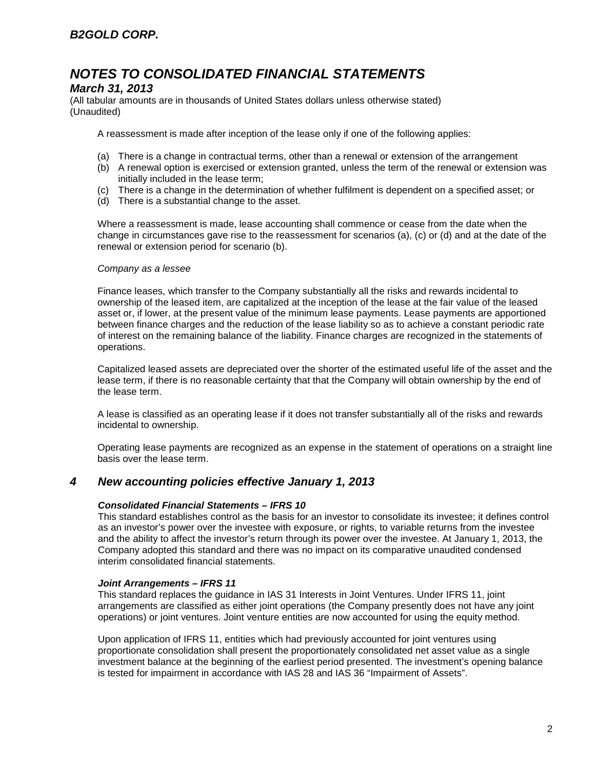## *March 31, 2013*

(All tabular amounts are in thousands of United States dollars unless otherwise stated) (Unaudited)

A reassessment is made after inception of the lease only if one of the following applies:

- (a) There is a change in contractual terms, other than a renewal or extension of the arrangement
- (b) A renewal option is exercised or extension granted, unless the term of the renewal or extension was initially included in the lease term;
- (c) There is a change in the determination of whether fulfilment is dependent on a specified asset; or
- (d) There is a substantial change to the asset.

Where a reassessment is made, lease accounting shall commence or cease from the date when the change in circumstances gave rise to the reassessment for scenarios (a), (c) or (d) and at the date of the renewal or extension period for scenario (b).

#### *Company as a lessee*

Finance leases, which transfer to the Company substantially all the risks and rewards incidental to ownership of the leased item, are capitalized at the inception of the lease at the fair value of the leased asset or, if lower, at the present value of the minimum lease payments. Lease payments are apportioned between finance charges and the reduction of the lease liability so as to achieve a constant periodic rate of interest on the remaining balance of the liability. Finance charges are recognized in the statements of operations.

Capitalized leased assets are depreciated over the shorter of the estimated useful life of the asset and the lease term, if there is no reasonable certainty that that the Company will obtain ownership by the end of the lease term.

A lease is classified as an operating lease if it does not transfer substantially all of the risks and rewards incidental to ownership.

Operating lease payments are recognized as an expense in the statement of operations on a straight line basis over the lease term.

#### *4 New accounting policies effective January 1, 2013*

#### *Consolidated Financial Statements – IFRS 10*

This standard establishes control as the basis for an investor to consolidate its investee; it defines control as an investor's power over the investee with exposure, or rights, to variable returns from the investee and the ability to affect the investor's return through its power over the investee. At January 1, 2013, the Company adopted this standard and there was no impact on its comparative unaudited condensed interim consolidated financial statements.

#### *Joint Arrangements – IFRS 11*

This standard replaces the guidance in IAS 31 Interests in Joint Ventures. Under IFRS 11, joint arrangements are classified as either joint operations (the Company presently does not have any joint operations) or joint ventures. Joint venture entities are now accounted for using the equity method.

Upon application of IFRS 11, entities which had previously accounted for joint ventures using proportionate consolidation shall present the proportionately consolidated net asset value as a single investment balance at the beginning of the earliest period presented. The investment's opening balance is tested for impairment in accordance with IAS 28 and IAS 36 "Impairment of Assets".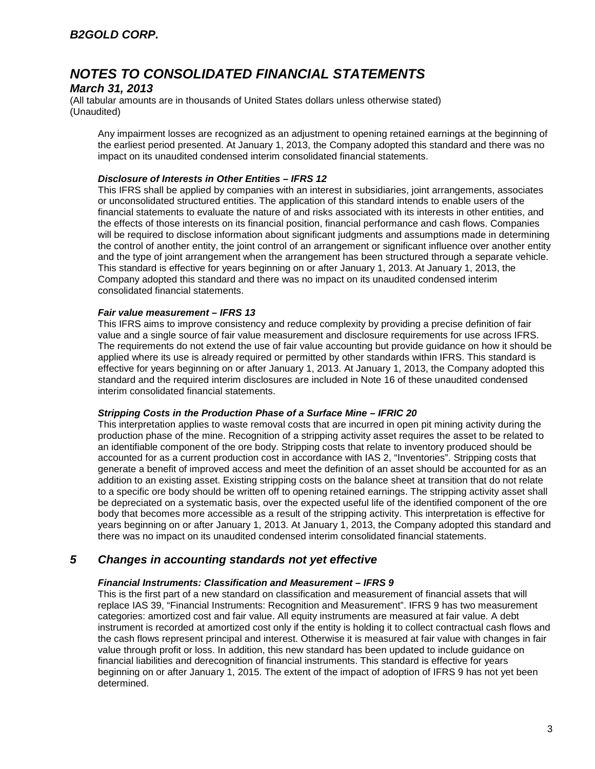### *March 31, 2013*

(All tabular amounts are in thousands of United States dollars unless otherwise stated) (Unaudited)

Any impairment losses are recognized as an adjustment to opening retained earnings at the beginning of the earliest period presented. At January 1, 2013, the Company adopted this standard and there was no impact on its unaudited condensed interim consolidated financial statements.

#### *Disclosure of Interests in Other Entities – IFRS 12*

This IFRS shall be applied by companies with an interest in subsidiaries, joint arrangements, associates or unconsolidated structured entities. The application of this standard intends to enable users of the financial statements to evaluate the nature of and risks associated with its interests in other entities, and the effects of those interests on its financial position, financial performance and cash flows. Companies will be required to disclose information about significant judgments and assumptions made in determining the control of another entity, the joint control of an arrangement or significant influence over another entity and the type of joint arrangement when the arrangement has been structured through a separate vehicle. This standard is effective for years beginning on or after January 1, 2013. At January 1, 2013, the Company adopted this standard and there was no impact on its unaudited condensed interim consolidated financial statements.

#### *Fair value measurement – IFRS 13*

This IFRS aims to improve consistency and reduce complexity by providing a precise definition of fair value and a single source of fair value measurement and disclosure requirements for use across IFRS. The requirements do not extend the use of fair value accounting but provide guidance on how it should be applied where its use is already required or permitted by other standards within IFRS. This standard is effective for years beginning on or after January 1, 2013. At January 1, 2013, the Company adopted this standard and the required interim disclosures are included in Note 16 of these unaudited condensed interim consolidated financial statements.

#### *Stripping Costs in the Production Phase of a Surface Mine – IFRIC 20*

This interpretation applies to waste removal costs that are incurred in open pit mining activity during the production phase of the mine. Recognition of a stripping activity asset requires the asset to be related to an identifiable component of the ore body. Stripping costs that relate to inventory produced should be accounted for as a current production cost in accordance with IAS 2, "Inventories". Stripping costs that generate a benefit of improved access and meet the definition of an asset should be accounted for as an addition to an existing asset. Existing stripping costs on the balance sheet at transition that do not relate to a specific ore body should be written off to opening retained earnings. The stripping activity asset shall be depreciated on a systematic basis, over the expected useful life of the identified component of the ore body that becomes more accessible as a result of the stripping activity. This interpretation is effective for years beginning on or after January 1, 2013. At January 1, 2013, the Company adopted this standard and there was no impact on its unaudited condensed interim consolidated financial statements.

### *5 Changes in accounting standards not yet effective*

#### *Financial Instruments: Classification and Measurement – IFRS 9*

This is the first part of a new standard on classification and measurement of financial assets that will replace IAS 39, "Financial Instruments: Recognition and Measurement". IFRS 9 has two measurement categories: amortized cost and fair value. All equity instruments are measured at fair value. A debt instrument is recorded at amortized cost only if the entity is holding it to collect contractual cash flows and the cash flows represent principal and interest. Otherwise it is measured at fair value with changes in fair value through profit or loss. In addition, this new standard has been updated to include guidance on financial liabilities and derecognition of financial instruments. This standard is effective for years beginning on or after January 1, 2015. The extent of the impact of adoption of IFRS 9 has not yet been determined.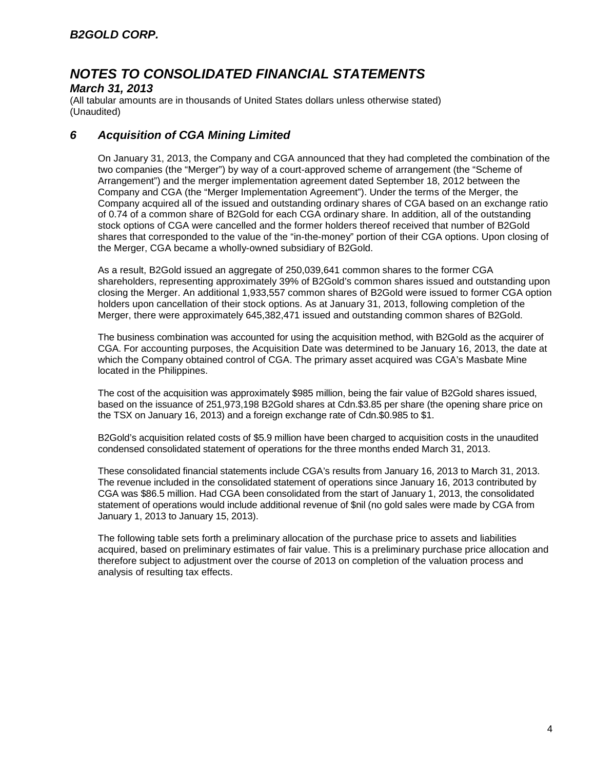### *March 31, 2013*

(All tabular amounts are in thousands of United States dollars unless otherwise stated) (Unaudited)

## *6 Acquisition of CGA Mining Limited*

On January 31, 2013, the Company and CGA announced that they had completed the combination of the two companies (the "Merger") by way of a court-approved scheme of arrangement (the "Scheme of Arrangement") and the merger implementation agreement dated September 18, 2012 between the Company and CGA (the "Merger Implementation Agreement"). Under the terms of the Merger, the Company acquired all of the issued and outstanding ordinary shares of CGA based on an exchange ratio of 0.74 of a common share of B2Gold for each CGA ordinary share. In addition, all of the outstanding stock options of CGA were cancelled and the former holders thereof received that number of B2Gold shares that corresponded to the value of the "in-the-money" portion of their CGA options. Upon closing of the Merger, CGA became a wholly-owned subsidiary of B2Gold.

As a result, B2Gold issued an aggregate of 250,039,641 common shares to the former CGA shareholders, representing approximately 39% of B2Gold's common shares issued and outstanding upon closing the Merger. An additional 1,933,557 common shares of B2Gold were issued to former CGA option holders upon cancellation of their stock options. As at January 31, 2013, following completion of the Merger, there were approximately 645,382,471 issued and outstanding common shares of B2Gold.

The business combination was accounted for using the acquisition method, with B2Gold as the acquirer of CGA. For accounting purposes, the Acquisition Date was determined to be January 16, 2013, the date at which the Company obtained control of CGA. The primary asset acquired was CGA's Masbate Mine located in the Philippines.

The cost of the acquisition was approximately \$985 million, being the fair value of B2Gold shares issued, based on the issuance of 251,973,198 B2Gold shares at Cdn.\$3.85 per share (the opening share price on the TSX on January 16, 2013) and a foreign exchange rate of Cdn.\$0.985 to \$1.

B2Gold's acquisition related costs of \$5.9 million have been charged to acquisition costs in the unaudited condensed consolidated statement of operations for the three months ended March 31, 2013.

These consolidated financial statements include CGA's results from January 16, 2013 to March 31, 2013. The revenue included in the consolidated statement of operations since January 16, 2013 contributed by CGA was \$86.5 million. Had CGA been consolidated from the start of January 1, 2013, the consolidated statement of operations would include additional revenue of \$nil (no gold sales were made by CGA from January 1, 2013 to January 15, 2013).

The following table sets forth a preliminary allocation of the purchase price to assets and liabilities acquired, based on preliminary estimates of fair value. This is a preliminary purchase price allocation and therefore subject to adjustment over the course of 2013 on completion of the valuation process and analysis of resulting tax effects.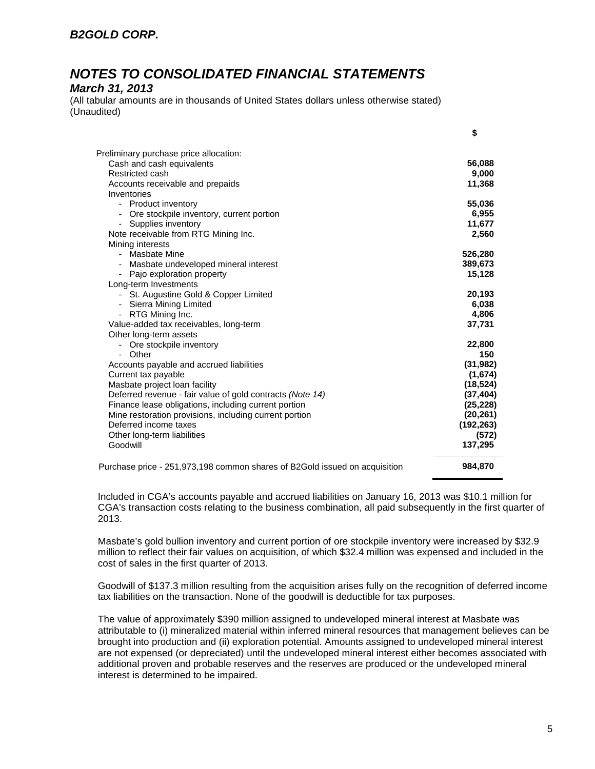## *B2GOLD CORP.*

## *NOTES TO CONSOLIDATED FINANCIAL STATEMENTS*

#### *March 31, 2013*

(All tabular amounts are in thousands of United States dollars unless otherwise stated) (Unaudited)

| Preliminary purchase price allocation:                                     |            |
|----------------------------------------------------------------------------|------------|
| Cash and cash equivalents                                                  | 56,088     |
| Restricted cash                                                            | 9,000      |
| Accounts receivable and prepaids                                           | 11,368     |
| Inventories                                                                |            |
| - Product inventory                                                        | 55,036     |
| Ore stockpile inventory, current portion<br>$\overline{\phantom{a}}$       | 6,955      |
| Supplies inventory                                                         | 11,677     |
| Note receivable from RTG Mining Inc.                                       | 2,560      |
| Mining interests                                                           |            |
| - Masbate Mine                                                             | 526,280    |
|                                                                            | 389,673    |
| Masbate undeveloped mineral interest                                       | 15,128     |
| Pajo exploration property<br>Long-term Investments                         |            |
|                                                                            | 20,193     |
| - St. Augustine Gold & Copper Limited                                      | 6,038      |
| - Sierra Mining Limited                                                    | 4,806      |
| RTG Mining Inc.<br>$\blacksquare$                                          |            |
| Value-added tax receivables, long-term                                     | 37,731     |
| Other long-term assets                                                     |            |
| - Ore stockpile inventory                                                  | 22,800     |
| - Other                                                                    | 150        |
| Accounts payable and accrued liabilities                                   | (31, 982)  |
| Current tax payable                                                        | (1,674)    |
| Masbate project loan facility                                              | (18, 524)  |
| Deferred revenue - fair value of gold contracts (Note 14)                  | (37, 404)  |
| Finance lease obligations, including current portion                       | (25, 228)  |
| Mine restoration provisions, including current portion                     | (20, 261)  |
| Deferred income taxes                                                      | (192, 263) |
| Other long-term liabilities                                                | (572)      |
| Goodwill                                                                   | 137,295    |
| Purchase price - 251,973,198 common shares of B2Gold issued on acquisition | 984,870    |

Included in CGA's accounts payable and accrued liabilities on January 16, 2013 was \$10.1 million for CGA's transaction costs relating to the business combination, all paid subsequently in the first quarter of 2013.

Masbate's gold bullion inventory and current portion of ore stockpile inventory were increased by \$32.9 million to reflect their fair values on acquisition, of which \$32.4 million was expensed and included in the cost of sales in the first quarter of 2013.

Goodwill of \$137.3 million resulting from the acquisition arises fully on the recognition of deferred income tax liabilities on the transaction. None of the goodwill is deductible for tax purposes.

The value of approximately \$390 million assigned to undeveloped mineral interest at Masbate was attributable to (i) mineralized material within inferred mineral resources that management believes can be brought into production and (ii) exploration potential. Amounts assigned to undeveloped mineral interest are not expensed (or depreciated) until the undeveloped mineral interest either becomes associated with additional proven and probable reserves and the reserves are produced or the undeveloped mineral interest is determined to be impaired.

**\$**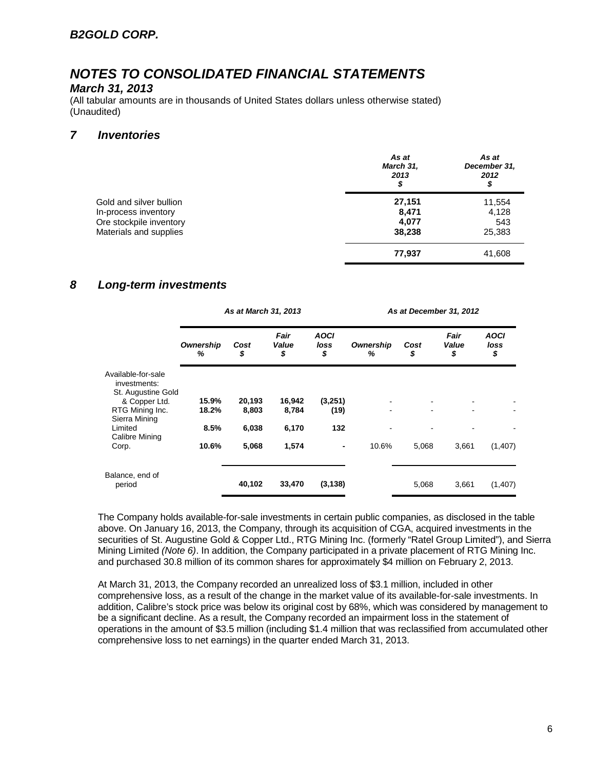### *March 31, 2013*

(All tabular amounts are in thousands of United States dollars unless otherwise stated) (Unaudited)

### *7 Inventories*

|                                                 | As at<br>March 31,<br>2013<br>\$ | As at<br>December 31,<br>2012<br>\$ |
|-------------------------------------------------|----------------------------------|-------------------------------------|
| Gold and silver bullion                         | 27,151                           | 11,554                              |
| In-process inventory<br>Ore stockpile inventory | 8,471<br>4,077                   | 4,128<br>543                        |
| Materials and supplies                          | 38,238                           | 25,383                              |
|                                                 | 77,937                           | 41,608                              |

## *8 Long-term investments*

|                                                                         |                | As at March 31, 2013 |                     |                           | As at December 31, 2012 |            |                     |                           |  |  |
|-------------------------------------------------------------------------|----------------|----------------------|---------------------|---------------------------|-------------------------|------------|---------------------|---------------------------|--|--|
|                                                                         | Ownership<br>% | Cost<br>\$           | Fair<br>Value<br>\$ | <b>AOCI</b><br>loss<br>\$ | Ownership<br>%          | Cost<br>\$ | Fair<br>Value<br>\$ | <b>AOCI</b><br>loss<br>\$ |  |  |
| Available-for-sale<br>investments:                                      |                |                      |                     |                           |                         |            |                     |                           |  |  |
| St. Augustine Gold<br>& Copper Ltd.<br>RTG Mining Inc.<br>Sierra Mining | 15.9%<br>18.2% | 20,193<br>8,803      | 16,942<br>8,784     | (3,251)<br>(19)           |                         |            |                     |                           |  |  |
| Limited<br>Calibre Mining                                               | 8.5%           | 6,038                | 6,170               | 132                       |                         |            |                     |                           |  |  |
| Corp.                                                                   | 10.6%          | 5,068                | 1,574               | $\blacksquare$            | 10.6%                   | 5,068      | 3,661               | (1,407)                   |  |  |
| Balance, end of                                                         |                |                      |                     |                           |                         |            |                     |                           |  |  |
| period                                                                  |                | 40,102               | 33,470              | (3, 138)                  |                         | 5,068      | 3,661               | (1,407)                   |  |  |

The Company holds available-for-sale investments in certain public companies, as disclosed in the table above. On January 16, 2013, the Company, through its acquisition of CGA, acquired investments in the securities of St. Augustine Gold & Copper Ltd., RTG Mining Inc. (formerly "Ratel Group Limited"), and Sierra Mining Limited *(Note 6)*. In addition, the Company participated in a private placement of RTG Mining Inc. and purchased 30.8 million of its common shares for approximately \$4 million on February 2, 2013.

At March 31, 2013, the Company recorded an unrealized loss of \$3.1 million, included in other comprehensive loss, as a result of the change in the market value of its available-for-sale investments. In addition, Calibre's stock price was below its original cost by 68%, which was considered by management to be a significant decline. As a result, the Company recorded an impairment loss in the statement of operations in the amount of \$3.5 million (including \$1.4 million that was reclassified from accumulated other comprehensive loss to net earnings) in the quarter ended March 31, 2013.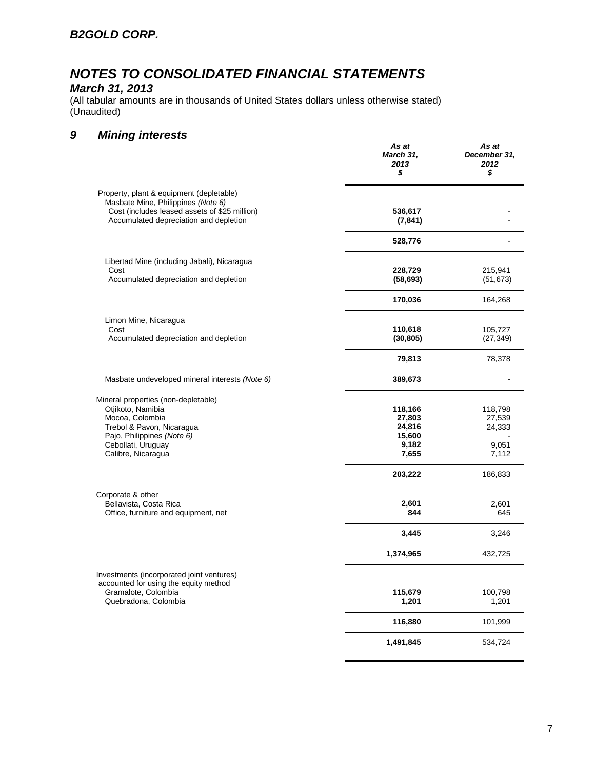### *March 31, 2013*

(All tabular amounts are in thousands of United States dollars unless otherwise stated) (Unaudited)

## *9 Mining interests*

|                                                                                                                                                                                    | As at<br>March 31,<br>2013<br>\$                        | As at<br>December 31,<br>2012<br>\$           |
|------------------------------------------------------------------------------------------------------------------------------------------------------------------------------------|---------------------------------------------------------|-----------------------------------------------|
| Property, plant & equipment (depletable)<br>Masbate Mine, Philippines (Note 6)<br>Cost (includes leased assets of \$25 million)<br>Accumulated depreciation and depletion          | 536,617<br>(7, 841)                                     |                                               |
|                                                                                                                                                                                    | 528,776                                                 |                                               |
| Libertad Mine (including Jabali), Nicaragua<br>Cost<br>Accumulated depreciation and depletion                                                                                      | 228,729<br>(58, 693)                                    | 215,941                                       |
|                                                                                                                                                                                    | 170,036                                                 | (51, 673)<br>164,268                          |
| Limon Mine, Nicaragua                                                                                                                                                              |                                                         |                                               |
| Cost<br>Accumulated depreciation and depletion                                                                                                                                     | 110,618<br>(30, 805)                                    | 105,727<br>(27, 349)                          |
|                                                                                                                                                                                    | 79,813                                                  | 78,378                                        |
| Masbate undeveloped mineral interests (Note 6)                                                                                                                                     | 389,673                                                 |                                               |
| Mineral properties (non-depletable)<br>Otjikoto, Namibia<br>Mocoa, Colombia<br>Trebol & Pavon, Nicaragua<br>Pajo, Philippines (Note 6)<br>Cebollati, Uruguay<br>Calibre, Nicaragua | 118,166<br>27,803<br>24,816<br>15,600<br>9,182<br>7,655 | 118,798<br>27,539<br>24,333<br>9,051<br>7,112 |
|                                                                                                                                                                                    | 203,222                                                 | 186,833                                       |
| Corporate & other<br>Bellavista, Costa Rica<br>Office, furniture and equipment, net                                                                                                | 2,601<br>844                                            | 2,601<br>645                                  |
|                                                                                                                                                                                    | 3,445                                                   | 3,246                                         |
|                                                                                                                                                                                    | 1,374,965                                               | 432,725                                       |
| Investments (incorporated joint ventures)<br>accounted for using the equity method<br>Gramalote, Colombia<br>Quebradona, Colombia                                                  | 115,679<br>1,201                                        | 100,798<br>1,201                              |
|                                                                                                                                                                                    | 116,880                                                 | 101,999                                       |
|                                                                                                                                                                                    | 1,491,845                                               | 534,724                                       |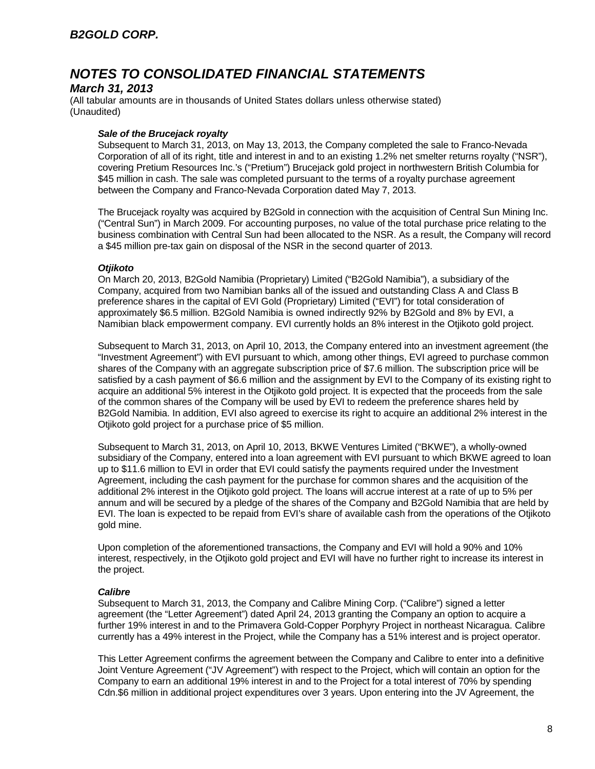### *March 31, 2013*

(All tabular amounts are in thousands of United States dollars unless otherwise stated) (Unaudited)

#### *Sale of the Brucejack royalty*

Subsequent to March 31, 2013, on May 13, 2013, the Company completed the sale to Franco-Nevada Corporation of all of its right, title and interest in and to an existing 1.2% net smelter returns royalty ("NSR"), covering Pretium Resources Inc.'s ("Pretium") Brucejack gold project in northwestern British Columbia for \$45 million in cash. The sale was completed pursuant to the terms of a royalty purchase agreement between the Company and Franco-Nevada Corporation dated May 7, 2013.

The Brucejack royalty was acquired by B2Gold in connection with the acquisition of Central Sun Mining Inc. ("Central Sun") in March 2009. For accounting purposes, no value of the total purchase price relating to the business combination with Central Sun had been allocated to the NSR. As a result, the Company will record a \$45 million pre-tax gain on disposal of the NSR in the second quarter of 2013.

#### *Otjikoto*

On March 20, 2013, B2Gold Namibia (Proprietary) Limited ("B2Gold Namibia"), a subsidiary of the Company, acquired from two Namibian banks all of the issued and outstanding Class A and Class B preference shares in the capital of EVI Gold (Proprietary) Limited ("EVI") for total consideration of approximately \$6.5 million. B2Gold Namibia is owned indirectly 92% by B2Gold and 8% by EVI, a Namibian black empowerment company. EVI currently holds an 8% interest in the Otjikoto gold project.

Subsequent to March 31, 2013, on April 10, 2013, the Company entered into an investment agreement (the "Investment Agreement") with EVI pursuant to which, among other things, EVI agreed to purchase common shares of the Company with an aggregate subscription price of \$7.6 million. The subscription price will be satisfied by a cash payment of \$6.6 million and the assignment by EVI to the Company of its existing right to acquire an additional 5% interest in the Otjikoto gold project. It is expected that the proceeds from the sale of the common shares of the Company will be used by EVI to redeem the preference shares held by B2Gold Namibia. In addition, EVI also agreed to exercise its right to acquire an additional 2% interest in the Otjikoto gold project for a purchase price of \$5 million.

Subsequent to March 31, 2013, on April 10, 2013, BKWE Ventures Limited ("BKWE"), a wholly-owned subsidiary of the Company, entered into a loan agreement with EVI pursuant to which BKWE agreed to loan up to \$11.6 million to EVI in order that EVI could satisfy the payments required under the Investment Agreement, including the cash payment for the purchase for common shares and the acquisition of the additional 2% interest in the Otjikoto gold project. The loans will accrue interest at a rate of up to 5% per annum and will be secured by a pledge of the shares of the Company and B2Gold Namibia that are held by EVI. The loan is expected to be repaid from EVI's share of available cash from the operations of the Otjikoto gold mine.

Upon completion of the aforementioned transactions, the Company and EVI will hold a 90% and 10% interest, respectively, in the Otjikoto gold project and EVI will have no further right to increase its interest in the project.

#### *Calibre*

Subsequent to March 31, 2013, the Company and Calibre Mining Corp. ("Calibre") signed a letter agreement (the "Letter Agreement") dated April 24, 2013 granting the Company an option to acquire a further 19% interest in and to the Primavera Gold-Copper Porphyry Project in northeast Nicaragua. Calibre currently has a 49% interest in the Project, while the Company has a 51% interest and is project operator.

This Letter Agreement confirms the agreement between the Company and Calibre to enter into a definitive Joint Venture Agreement ("JV Agreement") with respect to the Project, which will contain an option for the Company to earn an additional 19% interest in and to the Project for a total interest of 70% by spending Cdn.\$6 million in additional project expenditures over 3 years. Upon entering into the JV Agreement, the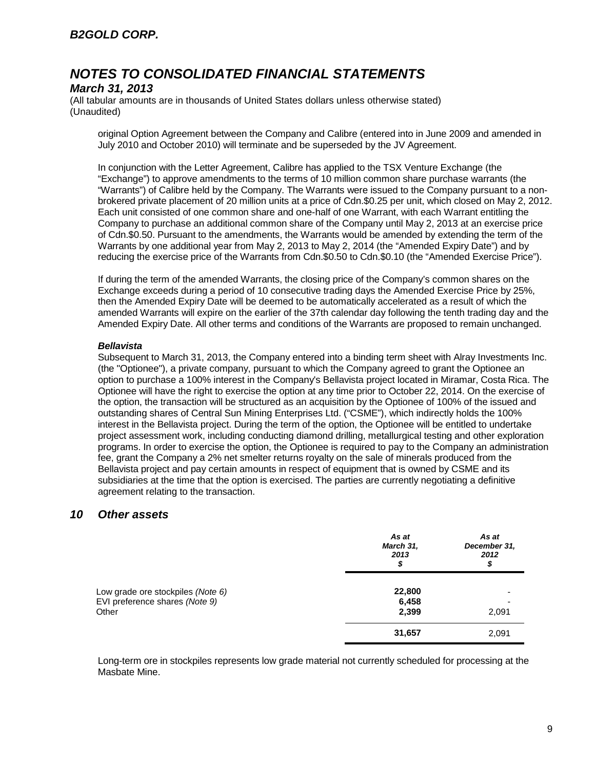### *March 31, 2013*

(All tabular amounts are in thousands of United States dollars unless otherwise stated) (Unaudited)

original Option Agreement between the Company and Calibre (entered into in June 2009 and amended in July 2010 and October 2010) will terminate and be superseded by the JV Agreement.

In conjunction with the Letter Agreement, Calibre has applied to the TSX Venture Exchange (the "Exchange") to approve amendments to the terms of 10 million common share purchase warrants (the "Warrants") of Calibre held by the Company. The Warrants were issued to the Company pursuant to a nonbrokered private placement of 20 million units at a price of Cdn.\$0.25 per unit, which closed on May 2, 2012. Each unit consisted of one common share and one-half of one Warrant, with each Warrant entitling the Company to purchase an additional common share of the Company until May 2, 2013 at an exercise price of Cdn.\$0.50. Pursuant to the amendments, the Warrants would be amended by extending the term of the Warrants by one additional year from May 2, 2013 to May 2, 2014 (the "Amended Expiry Date") and by reducing the exercise price of the Warrants from Cdn.\$0.50 to Cdn.\$0.10 (the "Amended Exercise Price").

If during the term of the amended Warrants, the closing price of the Company's common shares on the Exchange exceeds during a period of 10 consecutive trading days the Amended Exercise Price by 25%, then the Amended Expiry Date will be deemed to be automatically accelerated as a result of which the amended Warrants will expire on the earlier of the 37th calendar day following the tenth trading day and the Amended Expiry Date. All other terms and conditions of the Warrants are proposed to remain unchanged.

#### *Bellavista*

Subsequent to March 31, 2013, the Company entered into a binding term sheet with Alray Investments Inc. (the "Optionee"), a private company, pursuant to which the Company agreed to grant the Optionee an option to purchase a 100% interest in the Company's Bellavista project located in Miramar, Costa Rica. The Optionee will have the right to exercise the option at any time prior to October 22, 2014. On the exercise of the option, the transaction will be structured as an acquisition by the Optionee of 100% of the issued and outstanding shares of Central Sun Mining Enterprises Ltd. ("CSME"), which indirectly holds the 100% interest in the Bellavista project. During the term of the option, the Optionee will be entitled to undertake project assessment work, including conducting diamond drilling, metallurgical testing and other exploration programs. In order to exercise the option, the Optionee is required to pay to the Company an administration fee, grant the Company a 2% net smelter returns royalty on the sale of minerals produced from the Bellavista project and pay certain amounts in respect of equipment that is owned by CSME and its subsidiaries at the time that the option is exercised. The parties are currently negotiating a definitive agreement relating to the transaction.

### *10 Other assets*

|                                                                     | As at<br>March 31,<br>2013<br>\$ | As at<br>December 31,<br>2012<br>\$ |
|---------------------------------------------------------------------|----------------------------------|-------------------------------------|
| Low grade ore stockpiles (Note 6)<br>EVI preference shares (Note 9) | 22,800<br>6,458                  |                                     |
| Other                                                               | 2,399                            | 2,091                               |
|                                                                     | 31,657                           | 2,091                               |

Long-term ore in stockpiles represents low grade material not currently scheduled for processing at the Masbate Mine.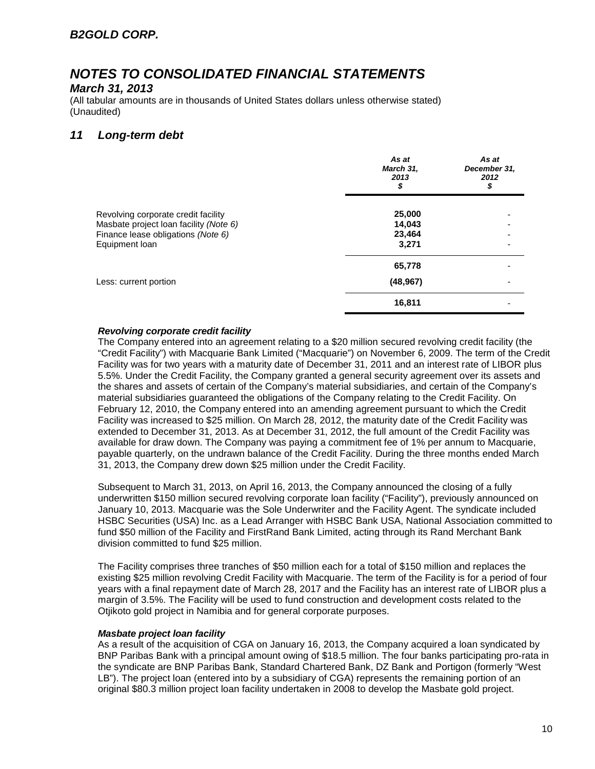#### *March 31, 2013*

(All tabular amounts are in thousands of United States dollars unless otherwise stated) (Unaudited)

### *11 Long-term debt*

|                                                                                                                                       | As at<br>March 31,<br>2013<br>\$    | As at<br>December 31,<br>2012<br>\$ |
|---------------------------------------------------------------------------------------------------------------------------------------|-------------------------------------|-------------------------------------|
| Revolving corporate credit facility<br>Masbate project loan facility (Note 6)<br>Finance lease obligations (Note 6)<br>Equipment loan | 25,000<br>14,043<br>23,464<br>3,271 |                                     |
| Less: current portion                                                                                                                 | 65,778<br>(48, 967)                 |                                     |
|                                                                                                                                       | 16,811                              |                                     |

#### *Revolving corporate credit facility*

The Company entered into an agreement relating to a \$20 million secured revolving credit facility (the "Credit Facility") with Macquarie Bank Limited ("Macquarie") on November 6, 2009. The term of the Credit Facility was for two years with a maturity date of December 31, 2011 and an interest rate of LIBOR plus 5.5%. Under the Credit Facility, the Company granted a general security agreement over its assets and the shares and assets of certain of the Company's material subsidiaries, and certain of the Company's material subsidiaries guaranteed the obligations of the Company relating to the Credit Facility. On February 12, 2010, the Company entered into an amending agreement pursuant to which the Credit Facility was increased to \$25 million. On March 28, 2012, the maturity date of the Credit Facility was extended to December 31, 2013. As at December 31, 2012, the full amount of the Credit Facility was available for draw down. The Company was paying a commitment fee of 1% per annum to Macquarie, payable quarterly, on the undrawn balance of the Credit Facility. During the three months ended March 31, 2013, the Company drew down \$25 million under the Credit Facility.

Subsequent to March 31, 2013, on April 16, 2013, the Company announced the closing of a fully underwritten \$150 million secured revolving corporate loan facility ("Facility"), previously announced on January 10, 2013. Macquarie was the Sole Underwriter and the Facility Agent. The syndicate included HSBC Securities (USA) Inc. as a Lead Arranger with HSBC Bank USA, National Association committed to fund \$50 million of the Facility and FirstRand Bank Limited, acting through its Rand Merchant Bank division committed to fund \$25 million.

The Facility comprises three tranches of \$50 million each for a total of \$150 million and replaces the existing \$25 million revolving Credit Facility with Macquarie. The term of the Facility is for a period of four years with a final repayment date of March 28, 2017 and the Facility has an interest rate of LIBOR plus a margin of 3.5%. The Facility will be used to fund construction and development costs related to the Otjikoto gold project in Namibia and for general corporate purposes.

#### *Masbate project loan facility*

As a result of the acquisition of CGA on January 16, 2013, the Company acquired a loan syndicated by BNP Paribas Bank with a principal amount owing of \$18.5 million. The four banks participating pro-rata in the syndicate are BNP Paribas Bank, Standard Chartered Bank, DZ Bank and Portigon (formerly "West LB"). The project loan (entered into by a subsidiary of CGA) represents the remaining portion of an original \$80.3 million project loan facility undertaken in 2008 to develop the Masbate gold project.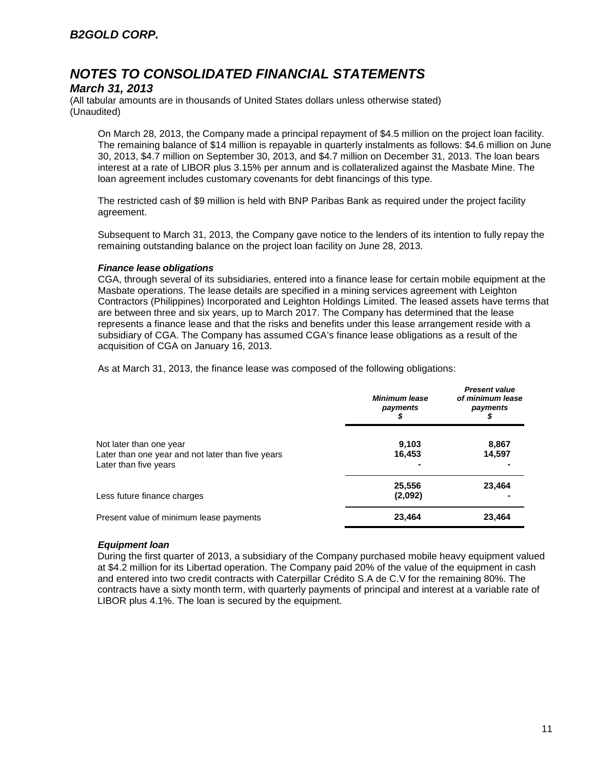### *March 31, 2013*

(All tabular amounts are in thousands of United States dollars unless otherwise stated) (Unaudited)

On March 28, 2013, the Company made a principal repayment of \$4.5 million on the project loan facility. The remaining balance of \$14 million is repayable in quarterly instalments as follows: \$4.6 million on June 30, 2013, \$4.7 million on September 30, 2013, and \$4.7 million on December 31, 2013. The loan bears interest at a rate of LIBOR plus 3.15% per annum and is collateralized against the Masbate Mine. The loan agreement includes customary covenants for debt financings of this type.

The restricted cash of \$9 million is held with BNP Paribas Bank as required under the project facility agreement.

Subsequent to March 31, 2013, the Company gave notice to the lenders of its intention to fully repay the remaining outstanding balance on the project loan facility on June 28, 2013.

#### *Finance lease obligations*

CGA, through several of its subsidiaries, entered into a finance lease for certain mobile equipment at the Masbate operations. The lease details are specified in a mining services agreement with Leighton Contractors (Philippines) Incorporated and Leighton Holdings Limited. The leased assets have terms that are between three and six years, up to March 2017. The Company has determined that the lease represents a finance lease and that the risks and benefits under this lease arrangement reside with a subsidiary of CGA. The Company has assumed CGA's finance lease obligations as a result of the acquisition of CGA on January 16, 2013.

As at March 31, 2013, the finance lease was composed of the following obligations:

|                                                                                                       | <b>Minimum lease</b><br>payments | <b>Present value</b><br>of minimum lease<br>payments |
|-------------------------------------------------------------------------------------------------------|----------------------------------|------------------------------------------------------|
| Not later than one year<br>Later than one year and not later than five years<br>Later than five years | 9.103<br>16,453                  | 8,867<br>14,597                                      |
| Less future finance charges                                                                           | 25,556<br>(2,092)                | 23.464                                               |
| Present value of minimum lease payments                                                               | 23,464                           | 23,464                                               |

#### *Equipment loan*

During the first quarter of 2013, a subsidiary of the Company purchased mobile heavy equipment valued at \$4.2 million for its Libertad operation. The Company paid 20% of the value of the equipment in cash and entered into two credit contracts with Caterpillar Crédito S.A de C.V for the remaining 80%. The contracts have a sixty month term, with quarterly payments of principal and interest at a variable rate of LIBOR plus 4.1%. The loan is secured by the equipment.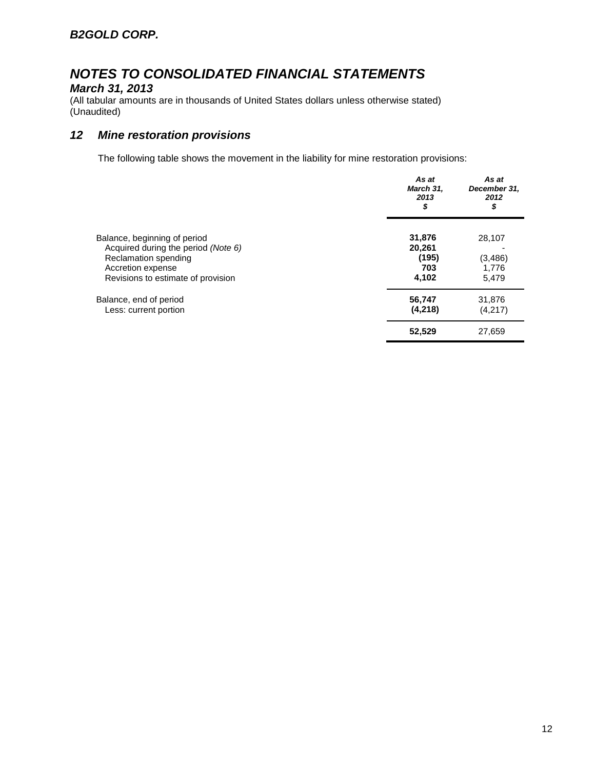## *March 31, 2013*

(All tabular amounts are in thousands of United States dollars unless otherwise stated) (Unaudited)

## *12 Mine restoration provisions*

The following table shows the movement in the liability for mine restoration provisions:

|                                                             | As at<br>March 31,<br>2013<br>\$ | As at<br>December 31,<br>2012<br>\$ |
|-------------------------------------------------------------|----------------------------------|-------------------------------------|
| Balance, beginning of period                                | 31,876                           | 28,107                              |
| Acquired during the period (Note 6)<br>Reclamation spending | 20,261<br>(195)                  |                                     |
| Accretion expense                                           | 703                              | (3, 486)<br>1,776                   |
| Revisions to estimate of provision                          | 4,102                            | 5,479                               |
| Balance, end of period                                      | 56,747                           | 31,876                              |
| Less: current portion                                       | (4,218)                          | (4,217)                             |
|                                                             | 52,529                           | 27,659                              |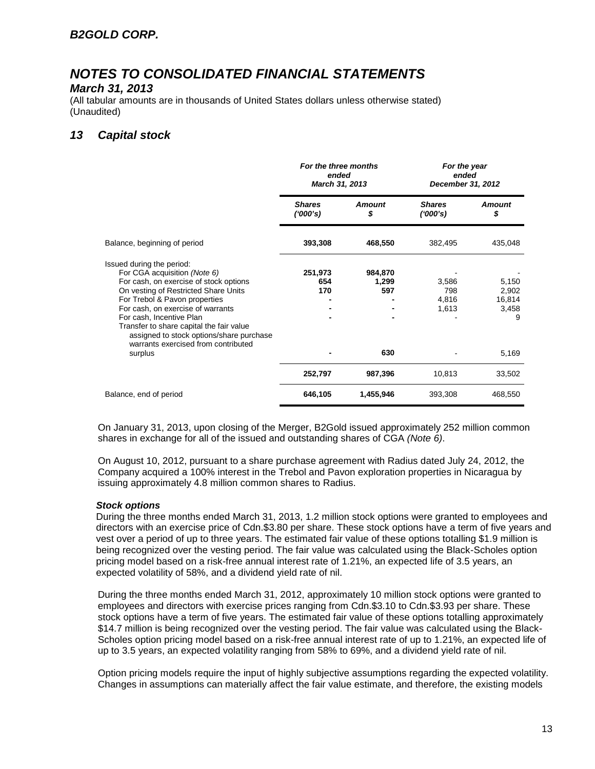### *March 31, 2013*

(All tabular amounts are in thousands of United States dollars unless otherwise stated) (Unaudited)

## *13 Capital stock*

|                                                                                                                                                                                                                                                                                                                                       | For the three months<br>ended<br>March 31, 2013 |                         | For the year<br>ended<br>December 31, 2012 |                                        |
|---------------------------------------------------------------------------------------------------------------------------------------------------------------------------------------------------------------------------------------------------------------------------------------------------------------------------------------|-------------------------------------------------|-------------------------|--------------------------------------------|----------------------------------------|
|                                                                                                                                                                                                                                                                                                                                       | <b>Shares</b><br>(1000's)                       | <b>Amount</b><br>\$     | <b>Shares</b><br>(1000's)                  | <b>Amount</b><br>\$                    |
| Balance, beginning of period                                                                                                                                                                                                                                                                                                          | 393,308                                         | 468,550                 | 382,495                                    | 435,048                                |
| Issued during the period:<br>For CGA acquisition (Note 6)<br>For cash, on exercise of stock options<br>On vesting of Restricted Share Units<br>For Trebol & Pavon properties<br>For cash, on exercise of warrants<br>For cash, Incentive Plan<br>Transfer to share capital the fair value<br>assigned to stock options/share purchase | 251,973<br>654<br>170                           | 984,870<br>1,299<br>597 | 3,586<br>798<br>4,816<br>1,613             | 5,150<br>2,902<br>16,814<br>3,458<br>9 |
| warrants exercised from contributed<br>surplus                                                                                                                                                                                                                                                                                        |                                                 | 630                     |                                            | 5,169                                  |
|                                                                                                                                                                                                                                                                                                                                       | 252,797                                         | 987,396                 | 10,813                                     | 33,502                                 |
| Balance, end of period                                                                                                                                                                                                                                                                                                                | 646,105                                         | 1,455,946               | 393,308                                    | 468,550                                |

On January 31, 2013, upon closing of the Merger, B2Gold issued approximately 252 million common shares in exchange for all of the issued and outstanding shares of CGA *(Note 6)*.

On August 10, 2012, pursuant to a share purchase agreement with Radius dated July 24, 2012, the Company acquired a 100% interest in the Trebol and Pavon exploration properties in Nicaragua by issuing approximately 4.8 million common shares to Radius.

#### *Stock options*

During the three months ended March 31, 2013, 1.2 million stock options were granted to employees and directors with an exercise price of Cdn.\$3.80 per share. These stock options have a term of five years and vest over a period of up to three years. The estimated fair value of these options totalling \$1.9 million is being recognized over the vesting period. The fair value was calculated using the Black-Scholes option pricing model based on a risk-free annual interest rate of 1.21%, an expected life of 3.5 years, an expected volatility of 58%, and a dividend yield rate of nil.

During the three months ended March 31, 2012, approximately 10 million stock options were granted to employees and directors with exercise prices ranging from Cdn.\$3.10 to Cdn.\$3.93 per share. These stock options have a term of five years. The estimated fair value of these options totalling approximately \$14.7 million is being recognized over the vesting period. The fair value was calculated using the Black-Scholes option pricing model based on a risk-free annual interest rate of up to 1.21%, an expected life of up to 3.5 years, an expected volatility ranging from 58% to 69%, and a dividend yield rate of nil.

Option pricing models require the input of highly subjective assumptions regarding the expected volatility. Changes in assumptions can materially affect the fair value estimate, and therefore, the existing models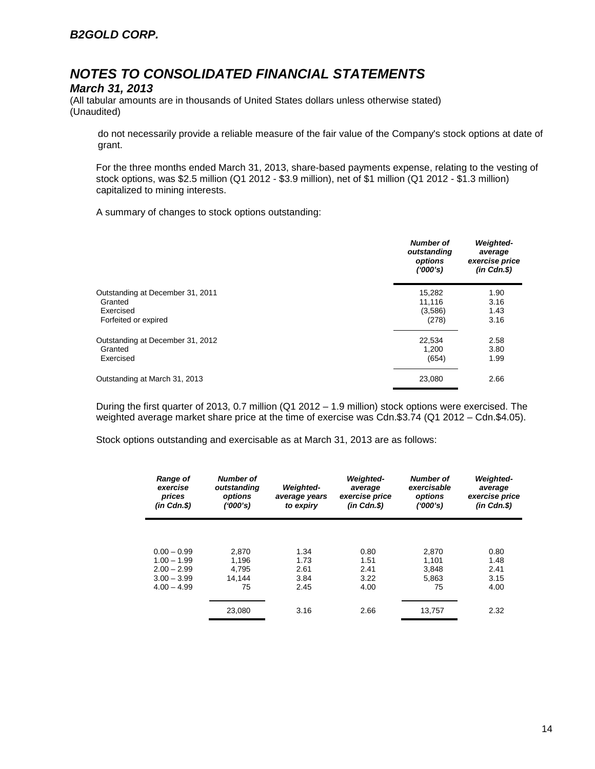### *March 31, 2013*

(All tabular amounts are in thousands of United States dollars unless otherwise stated) (Unaudited)

do not necessarily provide a reliable measure of the fair value of the Company's stock options at date of grant.

For the three months ended March 31, 2013, share-based payments expense, relating to the vesting of stock options, was \$2.5 million (Q1 2012 - \$3.9 million), net of \$1 million (Q1 2012 - \$1.3 million) capitalized to mining interests.

A summary of changes to stock options outstanding:

|                                  | <b>Number of</b><br>outstanding<br>options<br>(1000's) | <b>Weighted-</b><br>average<br>exercise price<br>$(in$ $Cdn.S)$ |
|----------------------------------|--------------------------------------------------------|-----------------------------------------------------------------|
| Outstanding at December 31, 2011 | 15,282                                                 | 1.90                                                            |
| Granted                          | 11,116                                                 | 3.16                                                            |
| Exercised                        | (3,586)                                                | 1.43                                                            |
| Forfeited or expired             | (278)                                                  | 3.16                                                            |
| Outstanding at December 31, 2012 | 22,534                                                 | 2.58                                                            |
| Granted                          | 1,200                                                  | 3.80                                                            |
| Exercised                        | (654)                                                  | 1.99                                                            |
| Outstanding at March 31, 2013    | 23,080                                                 | 2.66                                                            |

During the first quarter of 2013, 0.7 million (Q1 2012 – 1.9 million) stock options were exercised. The weighted average market share price at the time of exercise was Cdn.\$3.74 (Q1 2012 – Cdn.\$4.05).

Stock options outstanding and exercisable as at March 31, 2013 are as follows:

| <b>Range of</b><br>exercise<br>prices<br>$(in$ $Cdn.S)$ | <b>Number of</b><br>outstanding<br>options<br>(1000's) | <b>Weighted-</b><br>average years<br>to expiry | <b>Weighted-</b><br>average<br>exercise price<br>$(in$ $Cdn.S)$ | <b>Number of</b><br>exercisable<br>options<br>(1000's) | <b>Weighted-</b><br>average<br>exercise price<br>$(in$ $Cdn.S)$ |
|---------------------------------------------------------|--------------------------------------------------------|------------------------------------------------|-----------------------------------------------------------------|--------------------------------------------------------|-----------------------------------------------------------------|
|                                                         |                                                        |                                                |                                                                 |                                                        |                                                                 |
| $0.00 - 0.99$                                           | 2.870                                                  | 1.34                                           | 0.80                                                            | 2.870                                                  | 0.80                                                            |
| $1.00 - 1.99$                                           | 1.196                                                  | 1.73                                           | 1.51                                                            | 1.101                                                  | 1.48                                                            |
| $2.00 - 2.99$                                           | 4.795                                                  | 2.61                                           | 2.41                                                            | 3.848                                                  | 2.41                                                            |
| $3.00 - 3.99$                                           | 14.144                                                 | 3.84                                           | 3.22                                                            | 5.863                                                  | 3.15                                                            |
| $4.00 - 4.99$                                           | 75                                                     | 2.45                                           | 4.00                                                            | 75                                                     | 4.00                                                            |
|                                                         | 23,080                                                 | 3.16                                           | 2.66                                                            | 13.757                                                 | 2.32                                                            |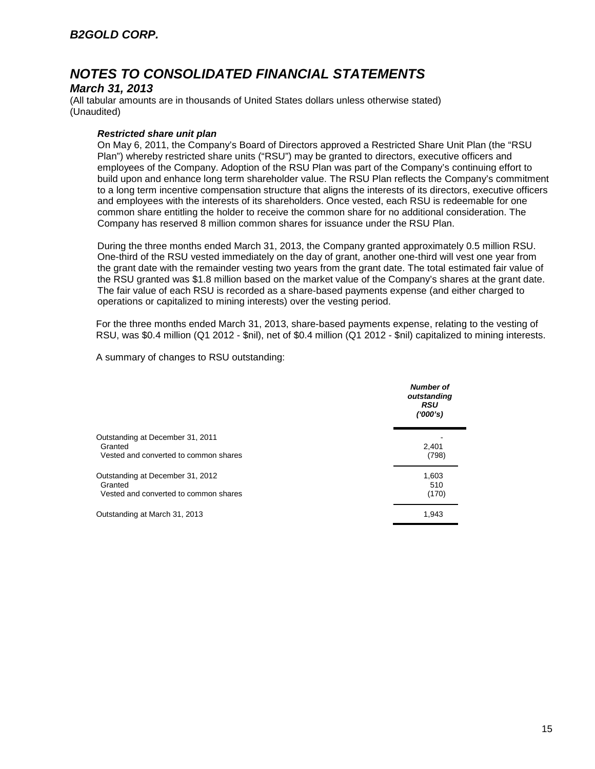### *March 31, 2013*

(All tabular amounts are in thousands of United States dollars unless otherwise stated) (Unaudited)

#### *Restricted share unit plan*

On May 6, 2011, the Company's Board of Directors approved a Restricted Share Unit Plan (the "RSU Plan") whereby restricted share units ("RSU") may be granted to directors, executive officers and employees of the Company. Adoption of the RSU Plan was part of the Company's continuing effort to build upon and enhance long term shareholder value. The RSU Plan reflects the Company's commitment to a long term incentive compensation structure that aligns the interests of its directors, executive officers and employees with the interests of its shareholders. Once vested, each RSU is redeemable for one common share entitling the holder to receive the common share for no additional consideration. The Company has reserved 8 million common shares for issuance under the RSU Plan.

During the three months ended March 31, 2013, the Company granted approximately 0.5 million RSU. One-third of the RSU vested immediately on the day of grant, another one-third will vest one year from the grant date with the remainder vesting two years from the grant date. The total estimated fair value of the RSU granted was \$1.8 million based on the market value of the Company's shares at the grant date. The fair value of each RSU is recorded as a share-based payments expense (and either charged to operations or capitalized to mining interests) over the vesting period.

For the three months ended March 31, 2013, share-based payments expense, relating to the vesting of RSU, was \$0.4 million (Q1 2012 - \$nil), net of \$0.4 million (Q1 2012 - \$nil) capitalized to mining interests.

A summary of changes to RSU outstanding:

|                                                                                      | <b>Number of</b><br>outstanding<br><b>RSU</b><br>(000's) |
|--------------------------------------------------------------------------------------|----------------------------------------------------------|
| Outstanding at December 31, 2011<br>Granted<br>Vested and converted to common shares | 2.401<br>(798)                                           |
| Outstanding at December 31, 2012<br>Granted<br>Vested and converted to common shares | 1,603<br>510<br>(170)                                    |
| Outstanding at March 31, 2013                                                        | 1,943                                                    |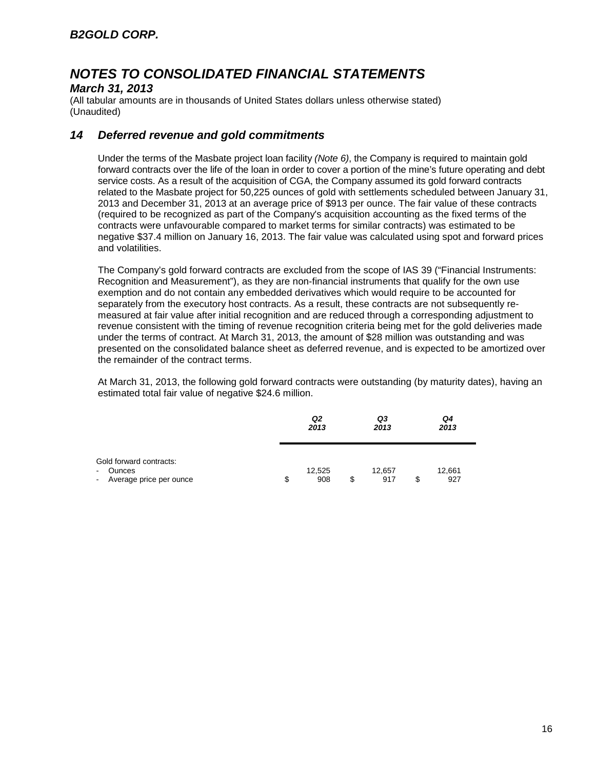### *March 31, 2013*

(All tabular amounts are in thousands of United States dollars unless otherwise stated) (Unaudited)

## *14 Deferred revenue and gold commitments*

Under the terms of the Masbate project loan facility *(Note 6)*, the Company is required to maintain gold forward contracts over the life of the loan in order to cover a portion of the mine's future operating and debt service costs. As a result of the acquisition of CGA, the Company assumed its gold forward contracts related to the Masbate project for 50,225 ounces of gold with settlements scheduled between January 31, 2013 and December 31, 2013 at an average price of \$913 per ounce. The fair value of these contracts (required to be recognized as part of the Company's acquisition accounting as the fixed terms of the contracts were unfavourable compared to market terms for similar contracts) was estimated to be negative \$37.4 million on January 16, 2013. The fair value was calculated using spot and forward prices and volatilities.

The Company's gold forward contracts are excluded from the scope of IAS 39 ("Financial Instruments: Recognition and Measurement"), as they are non-financial instruments that qualify for the own use exemption and do not contain any embedded derivatives which would require to be accounted for separately from the executory host contracts. As a result, these contracts are not subsequently remeasured at fair value after initial recognition and are reduced through a corresponding adjustment to revenue consistent with the timing of revenue recognition criteria being met for the gold deliveries made under the terms of contract. At March 31, 2013, the amount of \$28 million was outstanding and was presented on the consolidated balance sheet as deferred revenue, and is expected to be amortized over the remainder of the contract terms.

At March 31, 2013, the following gold forward contracts were outstanding (by maturity dates), having an estimated total fair value of negative \$24.6 million.

|                                                                                 | Q2<br>2013          |   | Q3<br>2013    |   | Q4<br>2013    |  |
|---------------------------------------------------------------------------------|---------------------|---|---------------|---|---------------|--|
| Gold forward contracts:<br><b>Ounces</b><br>$\sim$<br>- Average price per ounce | \$<br>12,525<br>908 | S | 12,657<br>917 | S | 12,661<br>927 |  |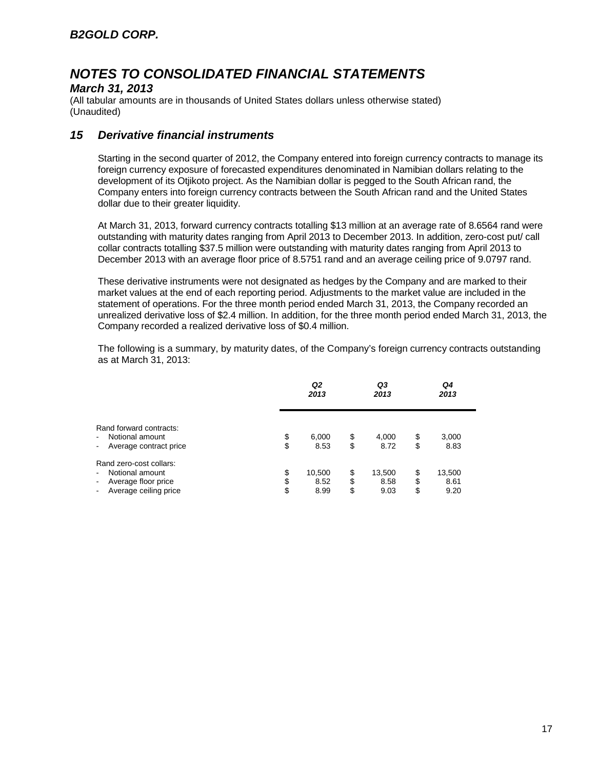### *March 31, 2013*

(All tabular amounts are in thousands of United States dollars unless otherwise stated) (Unaudited)

## *15 Derivative financial instruments*

Starting in the second quarter of 2012, the Company entered into foreign currency contracts to manage its foreign currency exposure of forecasted expenditures denominated in Namibian dollars relating to the development of its Otjikoto project. As the Namibian dollar is pegged to the South African rand, the Company enters into foreign currency contracts between the South African rand and the United States dollar due to their greater liquidity.

At March 31, 2013, forward currency contracts totalling \$13 million at an average rate of 8.6564 rand were outstanding with maturity dates ranging from April 2013 to December 2013. In addition, zero-cost put/ call collar contracts totalling \$37.5 million were outstanding with maturity dates ranging from April 2013 to December 2013 with an average floor price of 8.5751 rand and an average ceiling price of 9.0797 rand.

These derivative instruments were not designated as hedges by the Company and are marked to their market values at the end of each reporting period. Adjustments to the market value are included in the statement of operations. For the three month period ended March 31, 2013, the Company recorded an unrealized derivative loss of \$2.4 million. In addition, for the three month period ended March 31, 2013, the Company recorded a realized derivative loss of \$0.4 million.

The following is a summary, by maturity dates, of the Company's foreign currency contracts outstanding as at March 31, 2013:

|                                                                                                                                                            |                | Q2<br>2013             |                | Q3<br>2013             |                | Q4<br>2013             |  |
|------------------------------------------------------------------------------------------------------------------------------------------------------------|----------------|------------------------|----------------|------------------------|----------------|------------------------|--|
| Rand forward contracts:<br>Notional amount<br>$\blacksquare$<br>Average contract price<br>$\qquad \qquad \blacksquare$                                     | \$<br>\$       | 6,000<br>8.53          | \$<br>\$       | 4,000<br>8.72          | \$<br>\$       | 3,000<br>8.83          |  |
| Rand zero-cost collars:<br>Notional amount<br>$\blacksquare$<br>Average floor price<br>$\blacksquare$<br>Average ceiling price<br>$\overline{\phantom{a}}$ | \$<br>\$<br>\$ | 10,500<br>8.52<br>8.99 | \$<br>\$<br>\$ | 13,500<br>8.58<br>9.03 | \$<br>\$<br>\$ | 13,500<br>8.61<br>9.20 |  |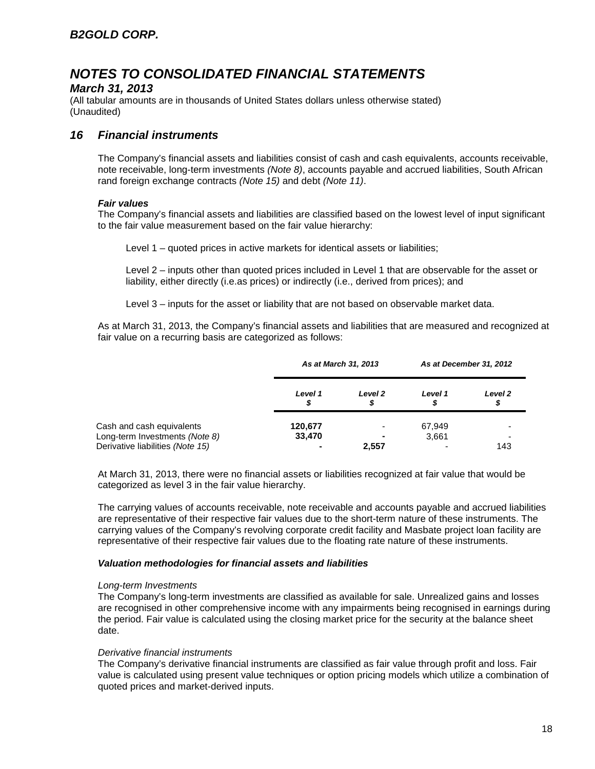### *March 31, 2013*

(All tabular amounts are in thousands of United States dollars unless otherwise stated) (Unaudited)

## *16 Financial instruments*

The Company's financial assets and liabilities consist of cash and cash equivalents, accounts receivable, note receivable, long-term investments *(Note 8)*, accounts payable and accrued liabilities, South African rand foreign exchange contracts *(Note 15)* and debt *(Note 11)*.

#### *Fair values*

The Company's financial assets and liabilities are classified based on the lowest level of input significant to the fair value measurement based on the fair value hierarchy:

Level 1 – quoted prices in active markets for identical assets or liabilities;

Level 2 – inputs other than quoted prices included in Level 1 that are observable for the asset or liability, either directly (i.e.as prices) or indirectly (i.e., derived from prices); and

Level 3 – inputs for the asset or liability that are not based on observable market data.

As at March 31, 2013, the Company's financial assets and liabilities that are measured and recognized at fair value on a recurring basis are categorized as follows:

|                                                             |                   | As at March 31, 2013 |                 | As at December 31, 2012 |
|-------------------------------------------------------------|-------------------|----------------------|-----------------|-------------------------|
|                                                             | Level 1           | Level 2              | Level 1<br>S    | Level 2<br>\$           |
| Cash and cash equivalents<br>Long-term Investments (Note 8) | 120,677<br>33,470 |                      | 67,949<br>3,661 |                         |
| Derivative liabilities (Note 15)                            |                   | 2,557                |                 | 143                     |

At March 31, 2013, there were no financial assets or liabilities recognized at fair value that would be categorized as level 3 in the fair value hierarchy.

The carrying values of accounts receivable, note receivable and accounts payable and accrued liabilities are representative of their respective fair values due to the short-term nature of these instruments. The carrying values of the Company's revolving corporate credit facility and Masbate project loan facility are representative of their respective fair values due to the floating rate nature of these instruments.

#### *Valuation methodologies for financial assets and liabilities*

#### *Long-term Investments*

The Company's long-term investments are classified as available for sale. Unrealized gains and losses are recognised in other comprehensive income with any impairments being recognised in earnings during the period. Fair value is calculated using the closing market price for the security at the balance sheet date.

#### *Derivative financial instruments*

The Company's derivative financial instruments are classified as fair value through profit and loss. Fair value is calculated using present value techniques or option pricing models which utilize a combination of quoted prices and market-derived inputs.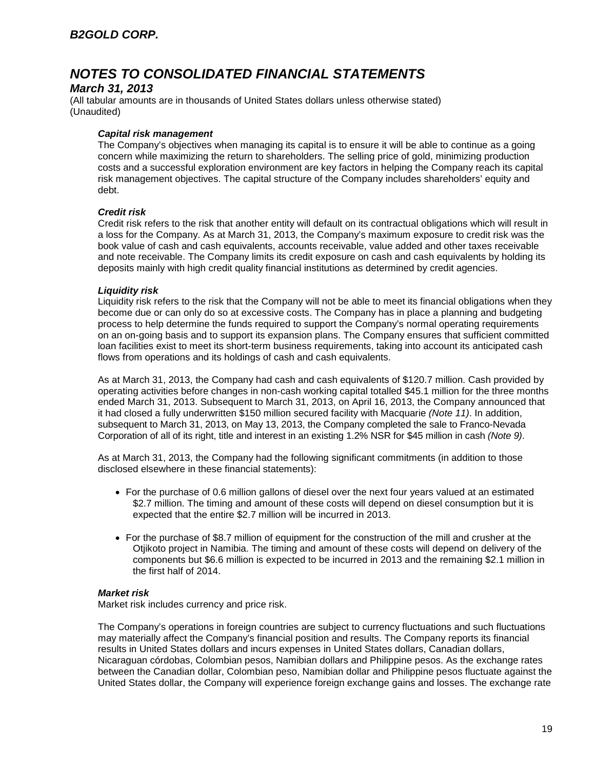### *March 31, 2013*

(All tabular amounts are in thousands of United States dollars unless otherwise stated) (Unaudited)

#### *Capital risk management*

The Company's objectives when managing its capital is to ensure it will be able to continue as a going concern while maximizing the return to shareholders. The selling price of gold, minimizing production costs and a successful exploration environment are key factors in helping the Company reach its capital risk management objectives. The capital structure of the Company includes shareholders' equity and debt.

#### *Credit risk*

Credit risk refers to the risk that another entity will default on its contractual obligations which will result in a loss for the Company. As at March 31, 2013, the Company's maximum exposure to credit risk was the book value of cash and cash equivalents, accounts receivable, value added and other taxes receivable and note receivable. The Company limits its credit exposure on cash and cash equivalents by holding its deposits mainly with high credit quality financial institutions as determined by credit agencies.

#### *Liquidity risk*

Liquidity risk refers to the risk that the Company will not be able to meet its financial obligations when they become due or can only do so at excessive costs. The Company has in place a planning and budgeting process to help determine the funds required to support the Company's normal operating requirements on an on-going basis and to support its expansion plans. The Company ensures that sufficient committed loan facilities exist to meet its short-term business requirements, taking into account its anticipated cash flows from operations and its holdings of cash and cash equivalents.

As at March 31, 2013, the Company had cash and cash equivalents of \$120.7 million. Cash provided by operating activities before changes in non-cash working capital totalled \$45.1 million for the three months ended March 31, 2013. Subsequent to March 31, 2013, on April 16, 2013, the Company announced that it had closed a fully underwritten \$150 million secured facility with Macquarie *(Note 11)*. In addition, subsequent to March 31, 2013, on May 13, 2013, the Company completed the sale to Franco-Nevada Corporation of all of its right, title and interest in an existing 1.2% NSR for \$45 million in cash *(Note 9)*.

As at March 31, 2013, the Company had the following significant commitments (in addition to those disclosed elsewhere in these financial statements):

- For the purchase of 0.6 million gallons of diesel over the next four years valued at an estimated \$2.7 million. The timing and amount of these costs will depend on diesel consumption but it is expected that the entire \$2.7 million will be incurred in 2013.
- For the purchase of \$8.7 million of equipment for the construction of the mill and crusher at the Otjikoto project in Namibia. The timing and amount of these costs will depend on delivery of the components but \$6.6 million is expected to be incurred in 2013 and the remaining \$2.1 million in the first half of 2014.

#### *Market risk*

Market risk includes currency and price risk.

The Company's operations in foreign countries are subject to currency fluctuations and such fluctuations may materially affect the Company's financial position and results. The Company reports its financial results in United States dollars and incurs expenses in United States dollars, Canadian dollars, Nicaraguan córdobas, Colombian pesos, Namibian dollars and Philippine pesos. As the exchange rates between the Canadian dollar, Colombian peso, Namibian dollar and Philippine pesos fluctuate against the United States dollar, the Company will experience foreign exchange gains and losses. The exchange rate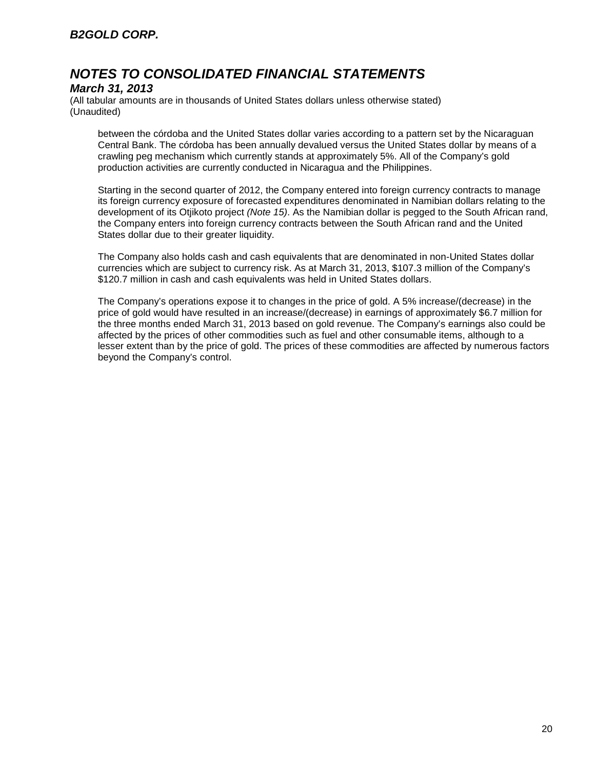### *March 31, 2013*

(All tabular amounts are in thousands of United States dollars unless otherwise stated) (Unaudited)

between the córdoba and the United States dollar varies according to a pattern set by the Nicaraguan Central Bank. The córdoba has been annually devalued versus the United States dollar by means of a crawling peg mechanism which currently stands at approximately 5%. All of the Company's gold production activities are currently conducted in Nicaragua and the Philippines.

Starting in the second quarter of 2012, the Company entered into foreign currency contracts to manage its foreign currency exposure of forecasted expenditures denominated in Namibian dollars relating to the development of its Otjikoto project *(Note 15)*. As the Namibian dollar is pegged to the South African rand, the Company enters into foreign currency contracts between the South African rand and the United States dollar due to their greater liquidity.

The Company also holds cash and cash equivalents that are denominated in non-United States dollar currencies which are subject to currency risk. As at March 31, 2013, \$107.3 million of the Company's \$120.7 million in cash and cash equivalents was held in United States dollars.

The Company's operations expose it to changes in the price of gold. A 5% increase/(decrease) in the price of gold would have resulted in an increase/(decrease) in earnings of approximately \$6.7 million for the three months ended March 31, 2013 based on gold revenue. The Company's earnings also could be affected by the prices of other commodities such as fuel and other consumable items, although to a lesser extent than by the price of gold. The prices of these commodities are affected by numerous factors beyond the Company's control.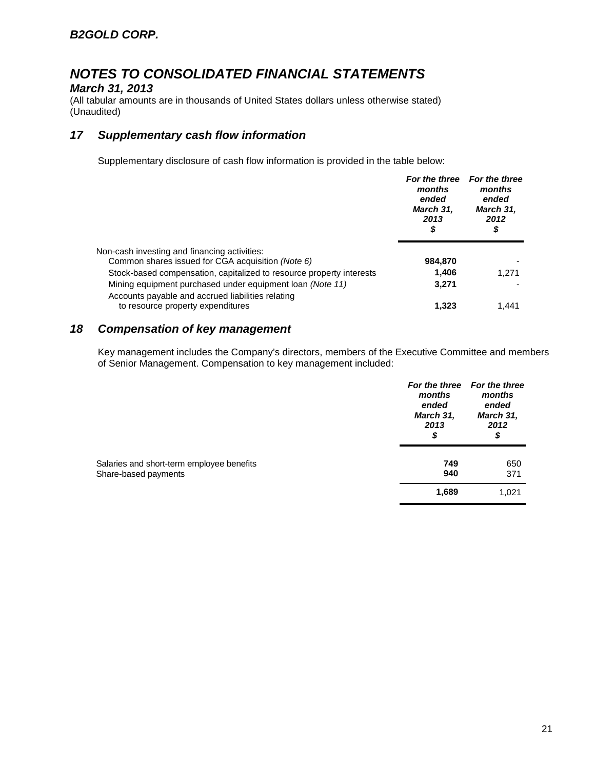### *March 31, 2013*

(All tabular amounts are in thousands of United States dollars unless otherwise stated) (Unaudited)

## *17 Supplementary cash flow information*

Supplementary disclosure of cash flow information is provided in the table below:

|                                                                                                                | For the three<br>months<br>ended<br>March 31,<br>2013<br>\$ | <b>For the three</b><br>months<br>ended<br>March 31,<br>2012<br>\$ |
|----------------------------------------------------------------------------------------------------------------|-------------------------------------------------------------|--------------------------------------------------------------------|
| Non-cash investing and financing activities:                                                                   |                                                             |                                                                    |
| Common shares issued for CGA acquisition (Note 6)                                                              | 984,870                                                     |                                                                    |
| Stock-based compensation, capitalized to resource property interests                                           | 1,406                                                       | 1.271                                                              |
| Mining equipment purchased under equipment loan (Note 11)<br>Accounts payable and accrued liabilities relating | 3.271                                                       |                                                                    |
| to resource property expenditures                                                                              | 1,323                                                       | 1.441                                                              |

## *18 Compensation of key management*

Key management includes the Company's directors, members of the Executive Committee and members of Senior Management. Compensation to key management included:

|                                                                   | months<br>ended<br>March 31,<br>2013<br>\$ | For the three For the three<br>months<br>ended<br>March 31,<br>2012<br>\$ |
|-------------------------------------------------------------------|--------------------------------------------|---------------------------------------------------------------------------|
| Salaries and short-term employee benefits<br>Share-based payments | 749<br>940                                 | 650<br>371                                                                |
|                                                                   | 1,689                                      | 1,021                                                                     |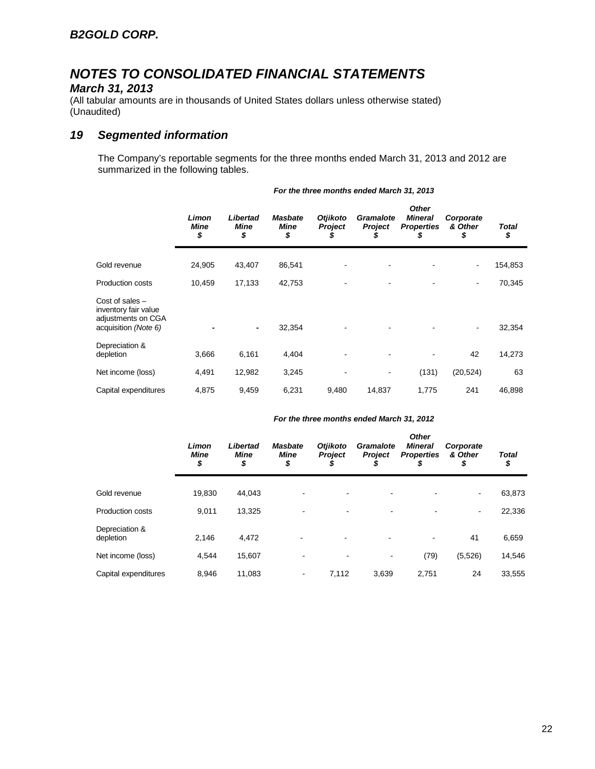## *March 31, 2013*

(All tabular amounts are in thousands of United States dollars unless otherwise stated) (Unaudited)

## *19 Segmented information*

The Company's reportable segments for the three months ended March 31, 2013 and 2012 are summarized in the following tables.

|                                                                                         | Limon<br><b>Mine</b><br>\$ | Libertad<br><b>Mine</b><br>\$ | <b>Masbate</b><br><b>Mine</b><br>\$ | <b>Otjikoto</b><br><b>Project</b><br>S | Gramalote<br>Project<br>S | <b>Other</b><br><b>Mineral</b><br><b>Properties</b><br>\$ | Corporate<br>& Other<br>\$ | <b>Total</b><br>\$ |
|-----------------------------------------------------------------------------------------|----------------------------|-------------------------------|-------------------------------------|----------------------------------------|---------------------------|-----------------------------------------------------------|----------------------------|--------------------|
| Gold revenue                                                                            | 24,905                     | 43,407                        | 86,541                              |                                        |                           |                                                           | ٠                          | 154,853            |
| <b>Production costs</b>                                                                 | 10,459                     | 17,133                        | 42,753                              |                                        |                           |                                                           | ٠                          | 70,345             |
| Cost of sales $-$<br>inventory fair value<br>adjustments on CGA<br>acquisition (Note 6) |                            | $\blacksquare$                | 32,354                              |                                        |                           |                                                           | $\overline{\phantom{a}}$   | 32,354             |
| Depreciation &<br>depletion                                                             | 3,666                      | 6,161                         | 4,404                               |                                        |                           |                                                           | 42                         | 14,273             |
| Net income (loss)                                                                       | 4,491                      | 12,982                        | 3,245                               |                                        |                           | (131)                                                     | (20, 524)                  | 63                 |
| Capital expenditures                                                                    | 4,875                      | 9,459                         | 6,231                               | 9,480                                  | 14,837                    | 1,775                                                     | 241                        | 46,898             |

#### *For the three months ended March 31, 2013*

#### *For the three months ended March 31, 2012*

|                             | Limon<br><b>Mine</b><br>\$ | Libertad<br><b>Mine</b><br>\$ | <b>Masbate</b><br>Mine<br>\$ | <b>Otjikoto</b><br><b>Project</b> | Gramalote<br><b>Project</b> | <b>Other</b><br><b>Mineral</b><br><b>Properties</b><br>\$ | Corporate<br>& Other<br>\$ | <b>Total</b><br>\$ |
|-----------------------------|----------------------------|-------------------------------|------------------------------|-----------------------------------|-----------------------------|-----------------------------------------------------------|----------------------------|--------------------|
| Gold revenue                | 19,830                     | 44.043                        |                              | -                                 |                             |                                                           | $\overline{\phantom{a}}$   | 63,873             |
| <b>Production costs</b>     | 9,011                      | 13,325                        |                              |                                   |                             |                                                           | $\sim$                     | 22,336             |
| Depreciation &<br>depletion | 2,146                      | 4,472                         | ٠                            |                                   |                             | $\overline{\phantom{a}}$                                  | 41                         | 6,659              |
| Net income (loss)           | 4,544                      | 15,607                        |                              | $\blacksquare$                    | ۰                           | (79)                                                      | (5, 526)                   | 14,546             |
| Capital expenditures        | 8.946                      | 11,083                        |                              | 7.112                             | 3,639                       | 2,751                                                     | 24                         | 33,555             |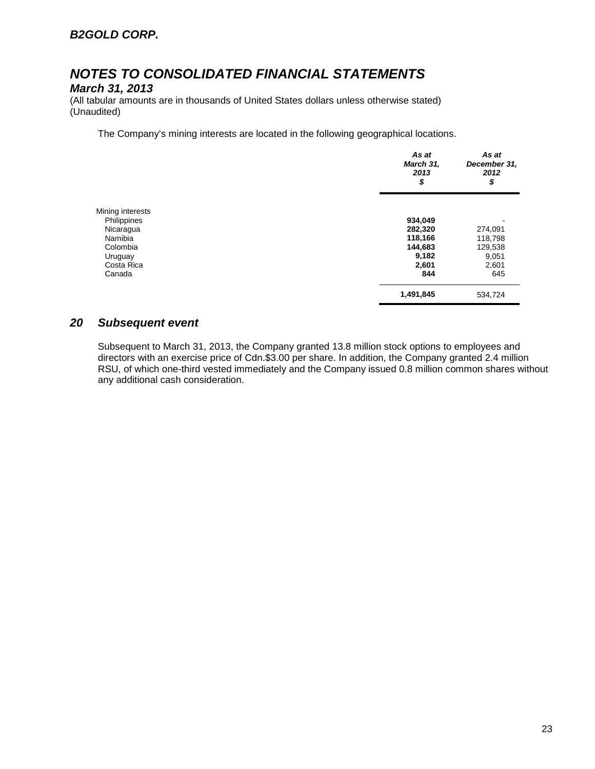### *March 31, 2013*

(All tabular amounts are in thousands of United States dollars unless otherwise stated) (Unaudited)

The Company's mining interests are located in the following geographical locations.

|                  | As at<br>March 31,<br>2013<br>\$ | As at<br>December 31,<br>2012<br>\$ |  |
|------------------|----------------------------------|-------------------------------------|--|
| Mining interests |                                  |                                     |  |
| Philippines      | 934,049                          |                                     |  |
| Nicaragua        | 282,320                          | 274,091                             |  |
| Namibia          | 118,166                          | 118,798                             |  |
| Colombia         | 144,683                          | 129,538                             |  |
| Uruguay          | 9,182                            | 9,051                               |  |
| Costa Rica       | 2,601                            | 2,601                               |  |
| Canada           | 844                              | 645                                 |  |
|                  | 1,491,845                        | 534,724                             |  |

## *20 Subsequent event*

Subsequent to March 31, 2013, the Company granted 13.8 million stock options to employees and directors with an exercise price of Cdn.\$3.00 per share. In addition, the Company granted 2.4 million RSU, of which one-third vested immediately and the Company issued 0.8 million common shares without any additional cash consideration.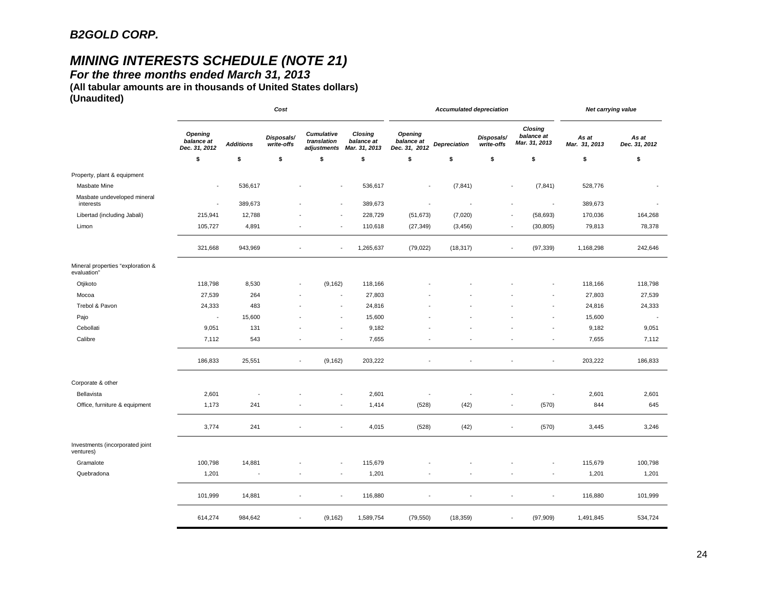# *MINING INTERESTS SCHEDULE (NOTE 21)*

*For the three months ended March 31, 2013* 

**(All tabular amounts are in thousands of United States dollars) (Unaudited)**

| Closing<br><b>Opening</b><br><b>Cumulative</b><br>Closing<br><b>Opening</b><br>balance at<br>Disposals/<br>Disposals/<br>balance at<br>translation<br>balance at<br>balance at<br>Mar. 31, 2013<br><b>Additions</b><br>write-offs<br>Depreciation<br>write-offs<br>Dec. 31, 2012<br>Mar. 31, 2013<br>Dec. 31, 2012<br>adjustments<br>\$<br>\$<br>\$<br>\$<br>\$<br>\$<br>\$<br>\$<br>\$<br>Property, plant & equipment | As at<br>Mar. 31, 2013<br>\$<br>528,776<br>389,673 | As at<br>Dec. 31, 2012<br>\$ |
|------------------------------------------------------------------------------------------------------------------------------------------------------------------------------------------------------------------------------------------------------------------------------------------------------------------------------------------------------------------------------------------------------------------------|----------------------------------------------------|------------------------------|
|                                                                                                                                                                                                                                                                                                                                                                                                                        |                                                    |                              |
|                                                                                                                                                                                                                                                                                                                                                                                                                        |                                                    |                              |
|                                                                                                                                                                                                                                                                                                                                                                                                                        |                                                    |                              |
| Masbate Mine<br>536,617<br>536,617<br>(7, 841)<br>(7, 841)<br>$\blacksquare$<br>$\blacksquare$                                                                                                                                                                                                                                                                                                                         |                                                    |                              |
| Masbate undeveloped mineral<br>389,673<br>389,673<br>interests<br>$\sim$<br>J.<br>÷,                                                                                                                                                                                                                                                                                                                                   |                                                    |                              |
| 215,941<br>12,788<br>228,729<br>(51, 673)<br>(7,020)<br>(58, 693)<br>Libertad (including Jabali)                                                                                                                                                                                                                                                                                                                       | 170,036                                            | 164,268                      |
| 4,891<br>110,618<br>Limon<br>105,727<br>(27, 349)<br>(3, 456)<br>(30, 805)                                                                                                                                                                                                                                                                                                                                             | 79,813                                             | 78,378                       |
| 321,668<br>943,969<br>1,265,637<br>(79, 022)<br>(18, 317)<br>(97, 339)<br>$\sim$<br>٠.                                                                                                                                                                                                                                                                                                                                 | 1,168,298                                          | 242,646                      |
| Mineral properties "exploration &<br>evaluation"                                                                                                                                                                                                                                                                                                                                                                       |                                                    |                              |
| Otjikoto<br>8,530<br>(9, 162)<br>118,798<br>118,166                                                                                                                                                                                                                                                                                                                                                                    | 118,166                                            | 118,798                      |
| Mocoa<br>27,539<br>264<br>27,803                                                                                                                                                                                                                                                                                                                                                                                       | 27,803                                             | 27,539                       |
| Trebol & Pavon<br>24,333<br>483<br>24,816                                                                                                                                                                                                                                                                                                                                                                              | 24,816                                             | 24,333                       |
| Pajo<br>15,600<br>15,600<br>$\sim$                                                                                                                                                                                                                                                                                                                                                                                     | 15,600                                             |                              |
| 9,051<br>9,182<br>Cebollati<br>131                                                                                                                                                                                                                                                                                                                                                                                     | 9,182                                              | 9,051                        |
| Calibre<br>7,112<br>543<br>7,655<br>÷<br>÷                                                                                                                                                                                                                                                                                                                                                                             | 7,655                                              | 7,112                        |
| 186,833<br>25,551<br>(9, 162)<br>203,222<br>$\blacksquare$<br>$\overline{\phantom{a}}$                                                                                                                                                                                                                                                                                                                                 | 203,222                                            | 186,833                      |
| Corporate & other                                                                                                                                                                                                                                                                                                                                                                                                      |                                                    |                              |
| Bellavista<br>2,601<br>2,601<br>÷,                                                                                                                                                                                                                                                                                                                                                                                     | 2,601                                              | 2,601                        |
| (42)<br>1,173<br>241<br>1,414<br>(528)<br>(570)<br>Office, furniture & equipment<br>$\overline{\phantom{a}}$                                                                                                                                                                                                                                                                                                           | 844                                                | 645                          |
| 3,774<br>241<br>4,015<br>(42)<br>(528)<br>(570)<br>$\blacksquare$<br>$\overline{\phantom{a}}$                                                                                                                                                                                                                                                                                                                          | 3,445                                              | 3,246                        |
| Investments (incorporated joint<br>ventures)                                                                                                                                                                                                                                                                                                                                                                           |                                                    |                              |
| 100,798<br>115,679<br>Gramalote<br>14,881                                                                                                                                                                                                                                                                                                                                                                              | 115,679                                            | 100,798                      |
| Quebradona<br>1,201<br>1,201<br>÷<br>$\overline{\phantom{a}}$                                                                                                                                                                                                                                                                                                                                                          | 1,201                                              | 1,201                        |
| 101,999<br>14,881<br>116,880<br>$\overline{\phantom{a}}$<br>÷                                                                                                                                                                                                                                                                                                                                                          | 116,880                                            | 101,999                      |
| 614,274<br>984,642<br>(9, 162)<br>1,589,754<br>(79, 550)<br>(18, 359)<br>(97,909)<br>$\overline{\phantom{a}}$<br>$\overline{\phantom{a}}$                                                                                                                                                                                                                                                                              | 1,491,845                                          | 534,724                      |